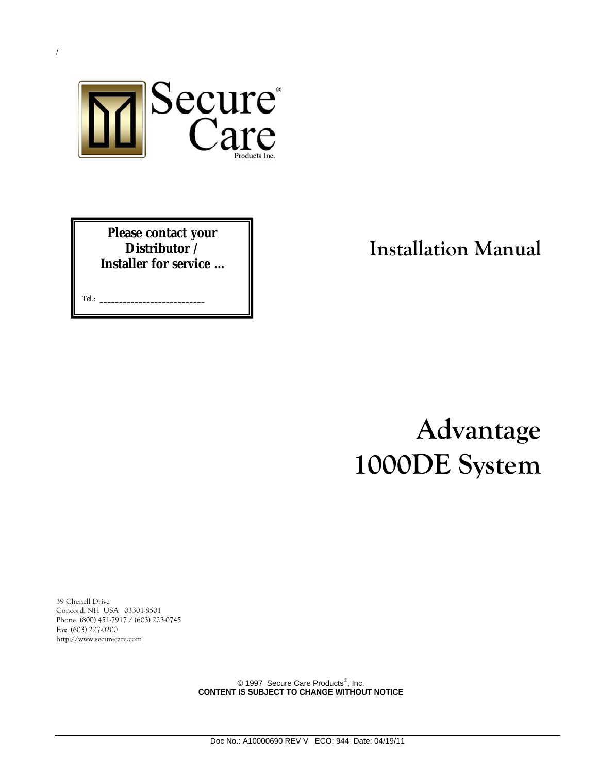

**Please contact your Distributor / Installer for service …** 

Tel.: **\_\_\_\_\_\_\_\_\_\_\_\_\_\_\_\_\_\_\_\_\_\_\_\_\_\_\_**

# **Installation Manual**

**Advantage 1000DE System**

39 Chenell Drive Concord, NH USA 03301-8501 Phone: (800) 451-7917 / (603) 223-0745 Fax: (603) 227-0200 http://www.securecare.com

> © 1997 Secure Care Products<sup>®</sup>, Inc. **CONTENT IS SUBJECT TO CHANGE WITHOUT NOTICE**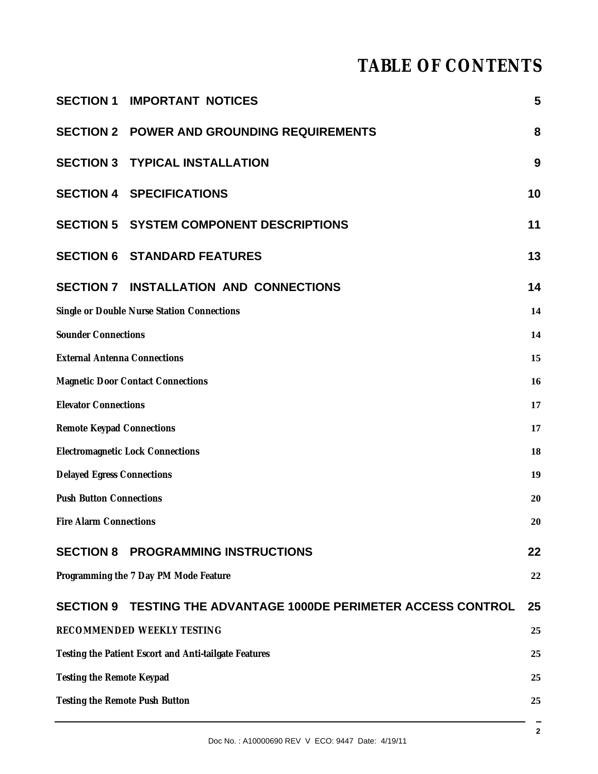# **TABLE OF CONTENTS**

|                                                       | <b>SECTION 1 IMPORTANT NOTICES</b>                              | 5  |  |
|-------------------------------------------------------|-----------------------------------------------------------------|----|--|
|                                                       | <b>SECTION 2 POWER AND GROUNDING REQUIREMENTS</b>               | 8  |  |
|                                                       | <b>SECTION 3 TYPICAL INSTALLATION</b>                           |    |  |
|                                                       | <b>SECTION 4 SPECIFICATIONS</b>                                 |    |  |
|                                                       | <b>SECTION 5 SYSTEM COMPONENT DESCRIPTIONS</b>                  | 11 |  |
|                                                       | <b>SECTION 6 STANDARD FEATURES</b>                              | 13 |  |
|                                                       | <b>SECTION 7 INSTALLATION AND CONNECTIONS</b>                   | 14 |  |
|                                                       | Single or Double Nurse Station Connections                      | 14 |  |
| <b>Sounder Connections</b>                            |                                                                 | 14 |  |
| <b>External Antenna Connections</b>                   |                                                                 | 15 |  |
| <b>Magnetic Door Contact Connections</b>              |                                                                 | 16 |  |
| <b>Elevator Connections</b>                           |                                                                 | 17 |  |
| <b>Remote Keypad Connections</b>                      |                                                                 | 17 |  |
| <b>Electromagnetic Lock Connections</b>               |                                                                 | 18 |  |
| <b>Delayed Egress Connections</b>                     |                                                                 | 19 |  |
| <b>Push Button Connections</b><br>20                  |                                                                 |    |  |
| <b>Fire Alarm Connections</b><br>20                   |                                                                 |    |  |
|                                                       | <b>SECTION 8 PROGRAMMING INSTRUCTIONS</b>                       | 22 |  |
|                                                       | Programming the 7 Day PM Mode Feature                           | 22 |  |
|                                                       | SECTION 9 TESTING THE ADVANTAGE 1000DE PERIMETER ACCESS CONTROL | 25 |  |
|                                                       | RECOMMENDED WEEKLY TESTING                                      | 25 |  |
| Testing the Patient Escort and Anti-tailgate Features |                                                                 | 25 |  |
| Testing the Remote Keypad                             |                                                                 | 25 |  |
| Testing the Remote Push Button<br>25                  |                                                                 |    |  |
|                                                       |                                                                 |    |  |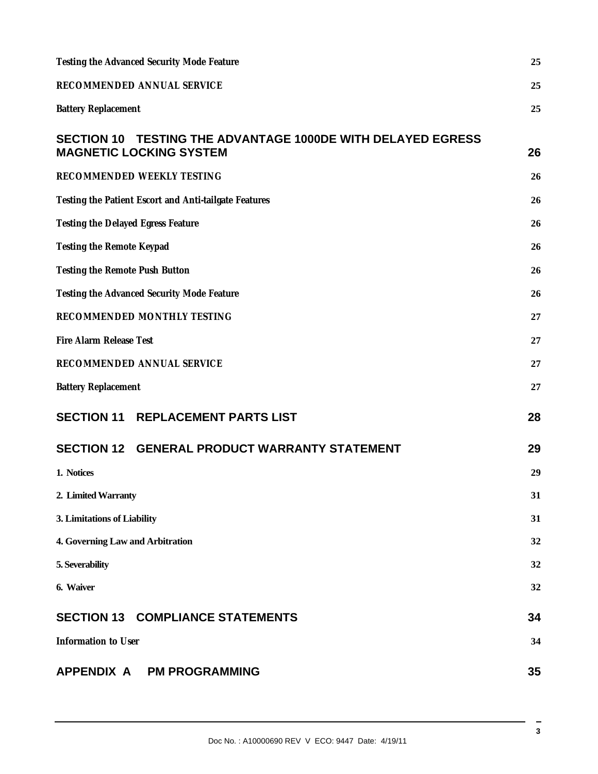| Testing the Advanced Security Mode Feature                                                                     |    |
|----------------------------------------------------------------------------------------------------------------|----|
| RECOMMENDED ANNUAL SERVICE                                                                                     |    |
| <b>Battery Replacement</b>                                                                                     | 25 |
| <b>TESTING THE ADVANTAGE 1000DE WITH DELAYED EGRESS</b><br><b>SECTION 10</b><br><b>MAGNETIC LOCKING SYSTEM</b> | 26 |
| RECOMMENDED WEEKLY TESTING                                                                                     | 26 |
| Testing the Patient Escort and Anti-tailgate Features                                                          | 26 |
| Testing the Delayed Egress Feature                                                                             | 26 |
| Testing the Remote Keypad                                                                                      | 26 |
| Testing the Remote Push Button                                                                                 |    |
| Testing the Advanced Security Mode Feature                                                                     |    |
| RECOMMENDED MONTHLY TESTING                                                                                    |    |
| Fire Alarm Release Test                                                                                        |    |
| RECOMMENDED ANNUAL SERVICE                                                                                     |    |
| <b>Battery Replacement</b>                                                                                     | 27 |
| <b>SECTION 11 REPLACEMENT PARTS LIST</b>                                                                       | 28 |
| SECTION 12 GENERAL PRODUCT WARRANTY STATEMENT                                                                  | 29 |
| 1. Notices                                                                                                     | 29 |
| 2. Limited Warranty                                                                                            | 31 |
| 3. Limitations of Liability                                                                                    |    |
| 4. Governing Law and Arbitration                                                                               | 32 |
| 5. Severability                                                                                                | 32 |
| 6. Waiver                                                                                                      | 32 |
| <b>SECTION 13 COMPLIANCE STATEMENTS</b>                                                                        | 34 |
| Information to User                                                                                            | 34 |
| APPENDIX A PM PROGRAMMING                                                                                      | 35 |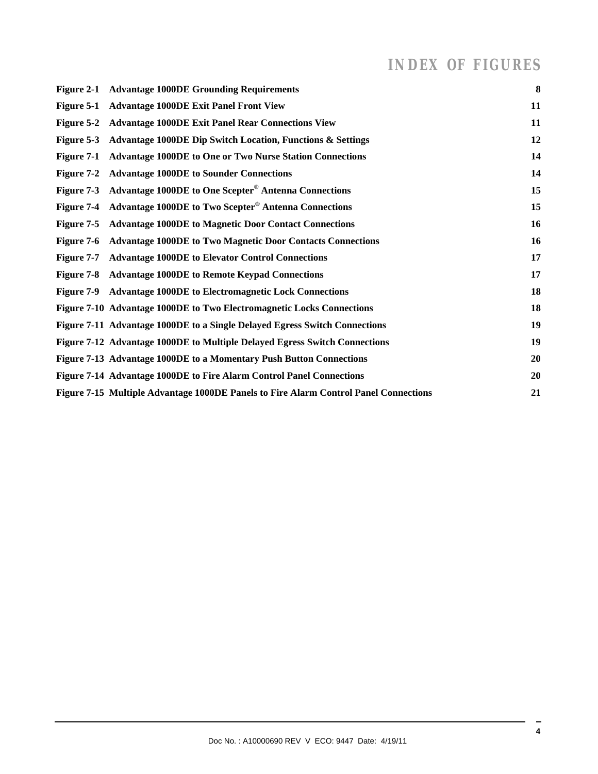# *INDEX OF FIGURES*

| Figure 2-1 Advantage 1000DE Grounding Requirements                                   | 8  |
|--------------------------------------------------------------------------------------|----|
| Figure 5-1 Advantage 1000DE Exit Panel Front View                                    | 11 |
| Figure 5-2 Advantage 1000DE Exit Panel Rear Connections View                         | 11 |
| Figure 5-3 Advantage 1000DE Dip Switch Location, Functions & Settings                | 12 |
| Figure 7-1 Advantage 1000DE to One or Two Nurse Station Connections                  | 14 |
| Figure 7-2 Advantage 1000DE to Sounder Connections                                   | 14 |
| Figure 7-3 Advantage 1000DE to One Scepter <sup>®</sup> Antenna Connections          | 15 |
| Figure 7-4 Advantage 1000DE to Two Scepter <sup>®</sup> Antenna Connections          | 15 |
| Figure 7-5 Advantage 1000DE to Magnetic Door Contact Connections                     | 16 |
| Figure 7-6 Advantage 1000DE to Two Magnetic Door Contacts Connections                | 16 |
| Figure 7-7 Advantage 1000DE to Elevator Control Connections                          | 17 |
| Figure 7-8 Advantage 1000DE to Remote Keypad Connections                             | 17 |
| Figure 7-9 Advantage 1000DE to Electromagnetic Lock Connections                      | 18 |
| Figure 7-10 Advantage 1000DE to Two Electromagnetic Locks Connections                | 18 |
| Figure 7-11 Advantage 1000DE to a Single Delayed Egress Switch Connections           | 19 |
| Figure 7-12 Advantage 1000DE to Multiple Delayed Egress Switch Connections           | 19 |
| Figure 7-13 Advantage 1000DE to a Momentary Push Button Connections                  | 20 |
| Figure 7-14 Advantage 1000DE to Fire Alarm Control Panel Connections                 | 20 |
| Figure 7-15 Multiple Advantage 1000DE Panels to Fire Alarm Control Panel Connections | 21 |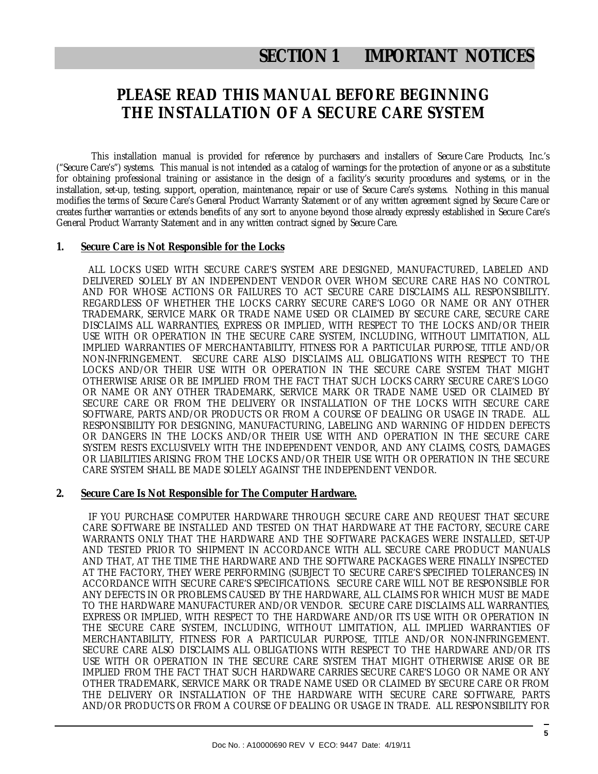# **SECTION 1 IMPORTANT NOTICES**

### **PLEASE READ THIS MANUAL BEFORE BEGINNING THE INSTALLATION OF A SECURE CARE SYSTEM**

This installation manual is provided for reference by purchasers and installers of Secure Care Products, Inc.'s ("Secure Care's") systems. This manual is not intended as a catalog of warnings for the protection of anyone or as a substitute for obtaining professional training or assistance in the design of a facility's security procedures and systems, or in the installation, set-up, testing, support, operation, maintenance, repair or use of Secure Care's systems. Nothing in this manual modifies the terms of Secure Care's General Product Warranty Statement or of any written agreement signed by Secure Care or creates further warranties or extends benefits of any sort to anyone beyond those already expressly established in Secure Care's General Product Warranty Statement and in any written contract signed by Secure Care.

#### **1. Secure Care is Not Responsible for the Locks**

 ALL LOCKS USED WITH SECURE CARE'S SYSTEM ARE DESIGNED, MANUFACTURED, LABELED AND DELIVERED SOLELY BY AN INDEPENDENT VENDOR OVER WHOM SECURE CARE HAS NO CONTROL AND FOR WHOSE ACTIONS OR FAILURES TO ACT SECURE CARE DISCLAIMS ALL RESPONSIBILITY. REGARDLESS OF WHETHER THE LOCKS CARRY SECURE CARE'S LOGO OR NAME OR ANY OTHER TRADEMARK, SERVICE MARK OR TRADE NAME USED OR CLAIMED BY SECURE CARE, SECURE CARE DISCLAIMS ALL WARRANTIES, EXPRESS OR IMPLIED, WITH RESPECT TO THE LOCKS AND/OR THEIR USE WITH OR OPERATION IN THE SECURE CARE SYSTEM, INCLUDING, WITHOUT LIMITATION, ALL IMPLIED WARRANTIES OF MERCHANTABILITY, FITNESS FOR A PARTICULAR PURPOSE, TITLE AND/OR NON-INFRINGEMENT. SECURE CARE ALSO DISCLAIMS ALL OBLIGATIONS WITH RESPECT TO THE LOCKS AND/OR THEIR USE WITH OR OPERATION IN THE SECURE CARE SYSTEM THAT MIGHT OTHERWISE ARISE OR BE IMPLIED FROM THE FACT THAT SUCH LOCKS CARRY SECURE CARE'S LOGO OR NAME OR ANY OTHER TRADEMARK, SERVICE MARK OR TRADE NAME USED OR CLAIMED BY SECURE CARE OR FROM THE DELIVERY OR INSTALLATION OF THE LOCKS WITH SECURE CARE SOFTWARE, PARTS AND/OR PRODUCTS OR FROM A COURSE OF DEALING OR USAGE IN TRADE. ALL RESPONSIBILITY FOR DESIGNING, MANUFACTURING, LABELING AND WARNING OF HIDDEN DEFECTS OR DANGERS IN THE LOCKS AND/OR THEIR USE WITH AND OPERATION IN THE SECURE CARE SYSTEM RESTS EXCLUSIVELY WITH THE INDEPENDENT VENDOR, AND ANY CLAIMS, COSTS, DAMAGES OR LIABILITIES ARISING FROM THE LOCKS AND/OR THEIR USE WITH OR OPERATION IN THE SECURE CARE SYSTEM SHALL BE MADE SOLELY AGAINST THE INDEPENDENT VENDOR.

#### **2. Secure Care Is Not Responsible for The Computer Hardware.**

 IF YOU PURCHASE COMPUTER HARDWARE THROUGH SECURE CARE AND REQUEST THAT SECURE CARE SOFTWARE BE INSTALLED AND TESTED ON THAT HARDWARE AT THE FACTORY, SECURE CARE WARRANTS ONLY THAT THE HARDWARE AND THE SOFTWARE PACKAGES WERE INSTALLED, SET-UP AND TESTED PRIOR TO SHIPMENT IN ACCORDANCE WITH ALL SECURE CARE PRODUCT MANUALS AND THAT, AT THE TIME THE HARDWARE AND THE SOFTWARE PACKAGES WERE FINALLY INSPECTED AT THE FACTORY, THEY WERE PERFORMING (SUBJECT TO SECURE CARE'S SPECIFIED TOLERANCES) IN ACCORDANCE WITH SECURE CARE'S SPECIFICATIONS. SECURE CARE WILL NOT BE RESPONSIBLE FOR ANY DEFECTS IN OR PROBLEMS CAUSED BY THE HARDWARE, ALL CLAIMS FOR WHICH MUST BE MADE TO THE HARDWARE MANUFACTURER AND/OR VENDOR. SECURE CARE DISCLAIMS ALL WARRANTIES, EXPRESS OR IMPLIED, WITH RESPECT TO THE HARDWARE AND/OR ITS USE WITH OR OPERATION IN THE SECURE CARE SYSTEM, INCLUDING, WITHOUT LIMITATION, ALL IMPLIED WARRANTIES OF MERCHANTABILITY, FITNESS FOR A PARTICULAR PURPOSE, TITLE AND/OR NON-INFRINGEMENT. SECURE CARE ALSO DISCLAIMS ALL OBLIGATIONS WITH RESPECT TO THE HARDWARE AND/OR ITS USE WITH OR OPERATION IN THE SECURE CARE SYSTEM THAT MIGHT OTHERWISE ARISE OR BE IMPLIED FROM THE FACT THAT SUCH HARDWARE CARRIES SECURE CARE'S LOGO OR NAME OR ANY OTHER TRADEMARK, SERVICE MARK OR TRADE NAME USED OR CLAIMED BY SECURE CARE OR FROM THE DELIVERY OR INSTALLATION OF THE HARDWARE WITH SECURE CARE SOFTWARE, PARTS AND/OR PRODUCTS OR FROM A COURSE OF DEALING OR USAGE IN TRADE. ALL RESPONSIBILITY FOR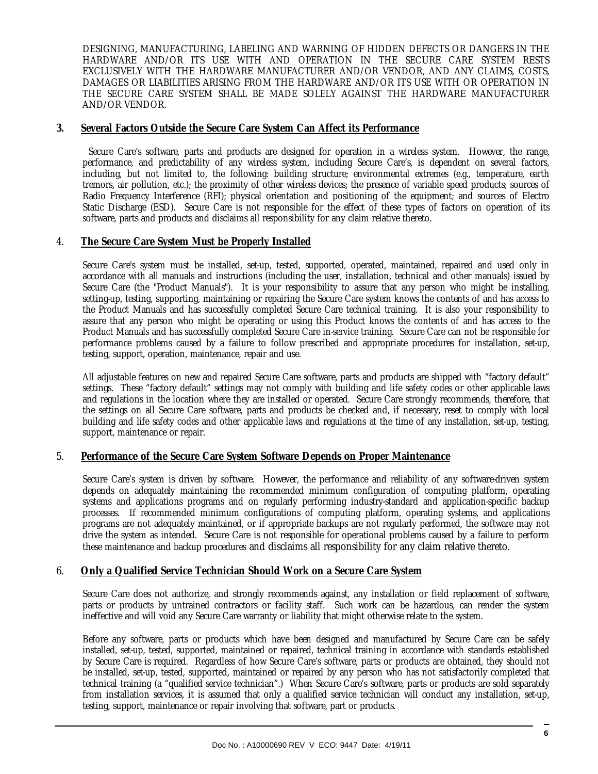DESIGNING, MANUFACTURING, LABELING AND WARNING OF HIDDEN DEFECTS OR DANGERS IN THE HARDWARE AND/OR ITS USE WITH AND OPERATION IN THE SECURE CARE SYSTEM RESTS EXCLUSIVELY WITH THE HARDWARE MANUFACTURER AND/OR VENDOR, AND ANY CLAIMS, COSTS, DAMAGES OR LIABILITIES ARISING FROM THE HARDWARE AND/OR ITS USE WITH OR OPERATION IN THE SECURE CARE SYSTEM SHALL BE MADE SOLELY AGAINST THE HARDWARE MANUFACTURER AND/OR VENDOR.

#### **3. Several Factors Outside the Secure Care System Can Affect its Performance**

 Secure Care's software, parts and products are designed for operation in a wireless system. However, the range, performance, and predictability of any wireless system, including Secure Care's, is dependent on several factors, including, but not limited to, the following: building structure; environmental extremes (e.g., temperature, earth tremors, air pollution, etc.); the proximity of other wireless devices; the presence of variable speed products; sources of Radio Frequency Interference (RFI); physical orientation and positioning of the equipment; and sources of Electro Static Discharge (ESD). Secure Care is not responsible for the effect of these types of factors on operation of its software, parts and products and disclaims all responsibility for any claim relative thereto.

#### 4. **The Secure Care System Must be Properly Installed**

Secure Care's system must be installed, set-up, tested, supported, operated, maintained, repaired and used only in accordance with all manuals and instructions (including the user, installation, technical and other manuals) issued by Secure Care (the "Product Manuals"). It is your responsibility to assure that any person who might be installing, setting-up, testing, supporting, maintaining or repairing the Secure Care system knows the contents of and has access to the Product Manuals and has successfully completed Secure Care technical training. It is also your responsibility to assure that any person who might be operating or using this Product knows the contents of and has access to the Product Manuals and has successfully completed Secure Care in-service training. Secure Care can not be responsible for performance problems caused by a failure to follow prescribed and appropriate procedures for installation, set-up, testing, support, operation, maintenance, repair and use.

All adjustable features on new and repaired Secure Care software, parts and products are shipped with "factory default" settings. These "factory default" settings may not comply with building and life safety codes or other applicable laws and regulations in the location where they are installed or operated. Secure Care strongly recommends, therefore, that the settings on all Secure Care software, parts and products be checked and, if necessary, reset to comply with local building and life safety codes and other applicable laws and regulations at the time of any installation, set-up, testing, support, maintenance or repair.

#### 5. **Performance of the Secure Care System Software Depends on Proper Maintenance**

Secure Care's system is driven by software. However, the performance and reliability of any software-driven system depends on adequately maintaining the recommended minimum configuration of computing platform, operating systems and applications programs and on regularly performing industry-standard and application-specific backup processes. If recommended minimum configurations of computing platform, operating systems, and applications programs are not adequately maintained, or if appropriate backups are not regularly performed, the software may not drive the system as intended. Secure Care is not responsible for operational problems caused by a failure to perform these maintenance and backup procedures and disclaims all responsibility for any claim relative thereto.

#### 6. **Only a Qualified Service Technician Should Work on a Secure Care System**

Secure Care does not authorize, and strongly recommends against, any installation or field replacement of software, parts or products by untrained contractors or facility staff. Such work can be hazardous, can render the system ineffective and will void any Secure Care warranty or liability that might otherwise relate to the system.

Before any software, parts or products which have been designed and manufactured by Secure Care can be safely installed, set-up, tested, supported, maintained or repaired, technical training in accordance with standards established by Secure Care is required. Regardless of how Secure Care's software, parts or products are obtained, they should not be installed, set-up, tested, supported, maintained or repaired by any person who has not satisfactorily completed that technical training (a "qualified service technician".) When Secure Care's software, parts or products are sold separately from installation services, it is assumed that only a qualified service technician will conduct any installation, set-up, testing, support, maintenance or repair involving that software, part or products.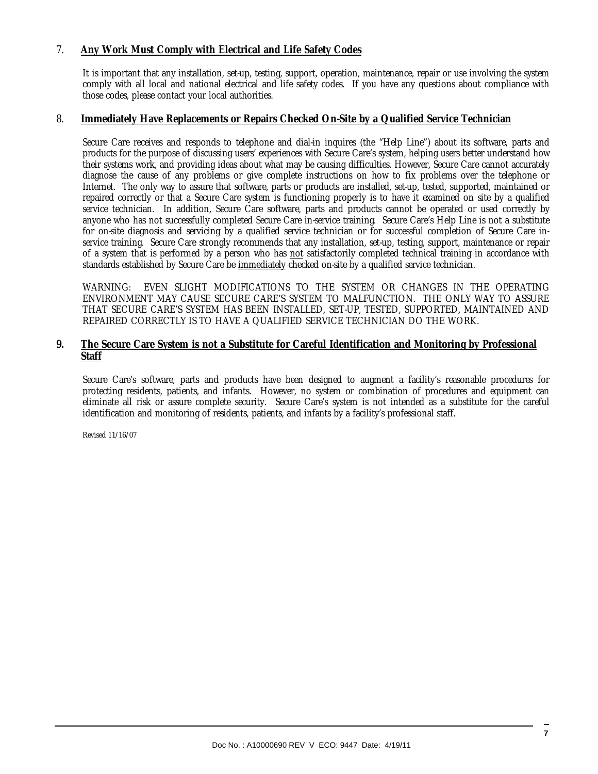#### 7. **Any Work Must Comply with Electrical and Life Safety Codes**

It is important that any installation, set-up, testing, support, operation, maintenance, repair or use involving the system comply with all local and national electrical and life safety codes. If you have any questions about compliance with those codes, please contact your local authorities.

#### 8. **Immediately Have Replacements or Repairs Checked On-Site by a Qualified Service Technician**

Secure Care receives and responds to telephone and dial-in inquires (the "Help Line") about its software, parts and products for the purpose of discussing users' experiences with Secure Care's system, helping users better understand how their systems work, and providing ideas about what may be causing difficulties. However, Secure Care cannot accurately diagnose the cause of any problems or give complete instructions on how to fix problems over the telephone or Internet. The only way to assure that software, parts or products are installed, set-up, tested, supported, maintained or repaired correctly or that a Secure Care system is functioning properly is to have it examined on site by a qualified service technician. In addition, Secure Care software, parts and products cannot be operated or used correctly by anyone who has not successfully completed Secure Care in-service training. Secure Care's Help Line is not a substitute for on-site diagnosis and servicing by a qualified service technician or for successful completion of Secure Care inservice training. Secure Care strongly recommends that any installation, set-up, testing, support, maintenance or repair of a system that is performed by a person who has not satisfactorily completed technical training in accordance with standards established by Secure Care be immediately checked on-site by a qualified service technician.

WARNING: EVEN SLIGHT MODIFICATIONS TO THE SYSTEM OR CHANGES IN THE OPERATING ENVIRONMENT MAY CAUSE SECURE CARE'S SYSTEM TO MALFUNCTION. THE ONLY WAY TO ASSURE THAT SECURE CARE'S SYSTEM HAS BEEN INSTALLED, SET-UP, TESTED, SUPPORTED, MAINTAINED AND REPAIRED CORRECTLY IS TO HAVE A QUALIFIED SERVICE TECHNICIAN DO THE WORK.

#### **9. The Secure Care System is not a Substitute for Careful Identification and Monitoring by Professional Staff**

Secure Care's software, parts and products have been designed to augment a facility's reasonable procedures for protecting residents, patients, and infants. However, no system or combination of procedures and equipment can eliminate all risk or assure complete security. Secure Care's system is not intended as a substitute for the careful identification and monitoring of residents, patients, and infants by a facility's professional staff.

Revised 11/16/07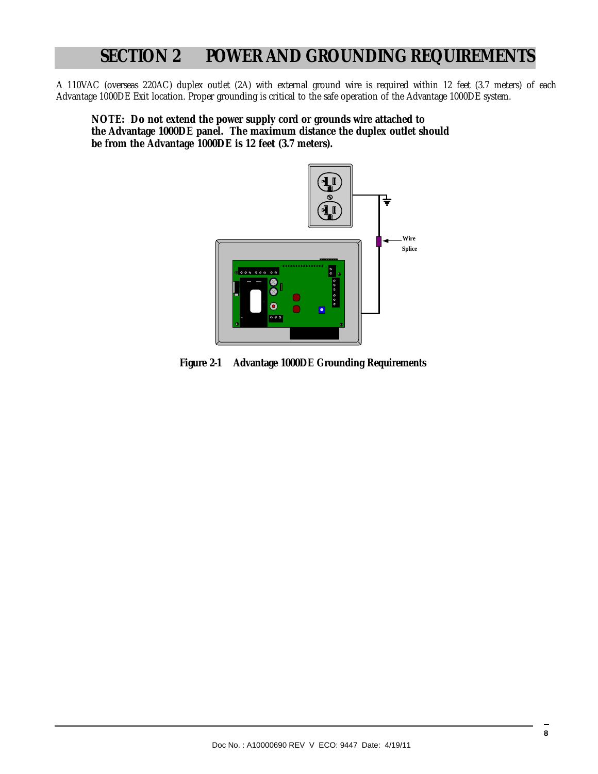# **SECTION 2 POWER AND GROUNDING REQUIREMENTS**

A 110VAC (overseas 220AC) duplex outlet (2A) with external ground wire is required within 12 feet (3.7 meters) of each Advantage 1000DE Exit location. Proper grounding is critical to the safe operation of the Advantage 1000DE system.

**NOTE: Do not extend the power supply cord or grounds wire attached to the Advantage 1000DE panel. The maximum distance the duplex outlet should be from the Advantage 1000DE is 12 feet (3.7 meters).** 



**Figure 2-1 Advantage 1000DE Grounding Requirements**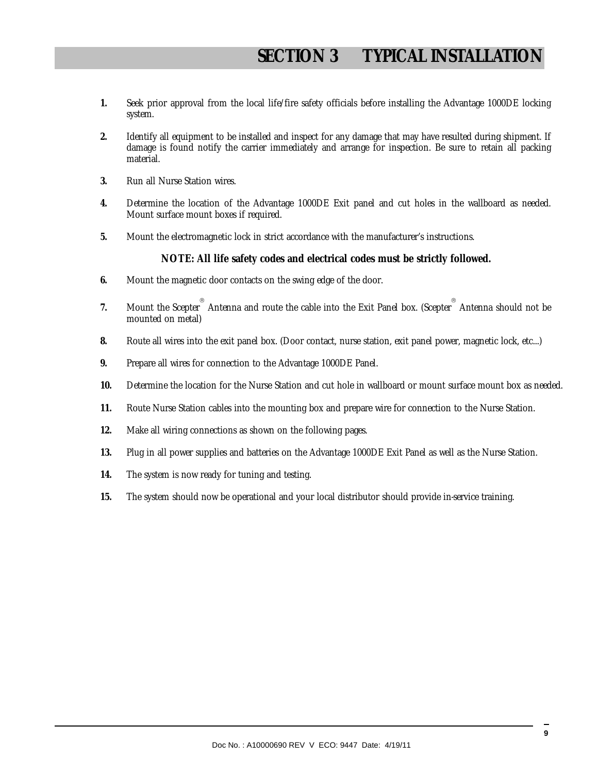- **1.** Seek prior approval from the local life/fire safety officials before installing the Advantage 1000DE locking system.
- **2.** Identify all equipment to be installed and inspect for any damage that may have resulted during shipment. If damage is found notify the carrier immediately and arrange for inspection. Be sure to retain all packing material.
- **3.** Run all Nurse Station wires.
- **4.** Determine the location of the Advantage 1000DE Exit panel and cut holes in the wallboard as needed. Mount surface mount boxes if required.
- **5.** Mount the electromagnetic lock in strict accordance with the manufacturer's instructions.

#### **NOTE: All life safety codes and electrical codes must be strictly followed.**

- **6.** Mount the magnetic door contacts on the swing edge of the door.
- 7. Mount the Scepter<sup>®</sup> Antenna and route the cable into the Exit Panel box. (Scepter<sup>®</sup> Antenna should not be mounted on metal)
- **8.** Route all wires into the exit panel box. (Door contact, nurse station, exit panel power, magnetic lock, etc...)
- **9.** Prepare all wires for connection to the Advantage 1000DE Panel.
- **10.** Determine the location for the Nurse Station and cut hole in wallboard or mount surface mount box as needed.
- **11.** Route Nurse Station cables into the mounting box and prepare wire for connection to the Nurse Station.
- **12.** Make all wiring connections as shown on the following pages.
- **13.** Plug in all power supplies and batteries on the Advantage 1000DE Exit Panel as well as the Nurse Station.
- **14.** The system is now ready for tuning and testing.
- **15.** The system should now be operational and your local distributor should provide in-service training.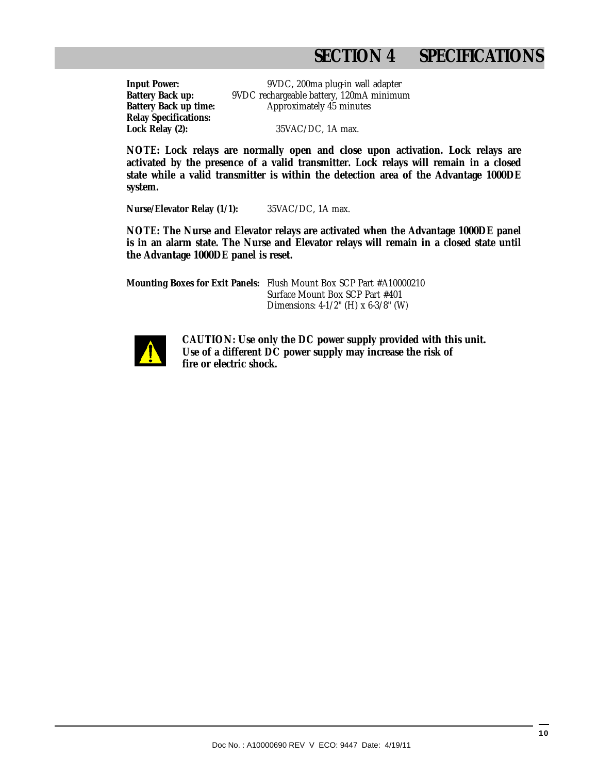# **SECTION 4 SPECIFICATIONS**

**Relay Specifications:**

**Input Power:** 9VDC, 200ma plug-in wall adapter **Battery Back up:** 9VDC rechargeable battery, 120mA minimum **Battery Back up time:** Approximately 45 minutes

**Lock Relay (2):** 35VAC/DC, 1A max.

**NOTE: Lock relays are normally open and close upon activation. Lock relays are activated by the presence of a valid transmitter. Lock relays will remain in a closed state while a valid transmitter is within the detection area of the Advantage 1000DE system.** 

**Nurse/Elevator Relay (1/1):** 35VAC/DC, 1A max.

**NOTE: The Nurse and Elevator relays are activated when the Advantage 1000DE panel is in an alarm state. The Nurse and Elevator relays will remain in a closed state until the Advantage 1000DE panel is reset.** 

**Mounting Boxes for Exit Panels:** Flush Mount Box SCP Part #A10000210 Surface Mount Box SCP Part #401 Dimensions: 4-1/2" (H) x 6-3/8" (W)



 **CAUTION: Use only the DC power supply provided with this unit. Use of a different DC power supply may increase the risk of fire or electric shock.**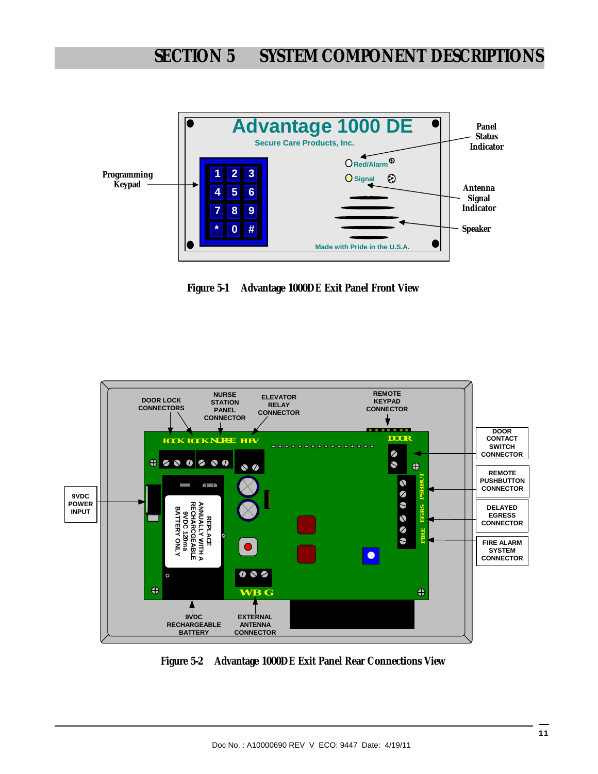

**Figure 5-1 Advantage 1000DE Exit Panel Front View** 



**Figure 5-2 Advantage 1000DE Exit Panel Rear Connections View**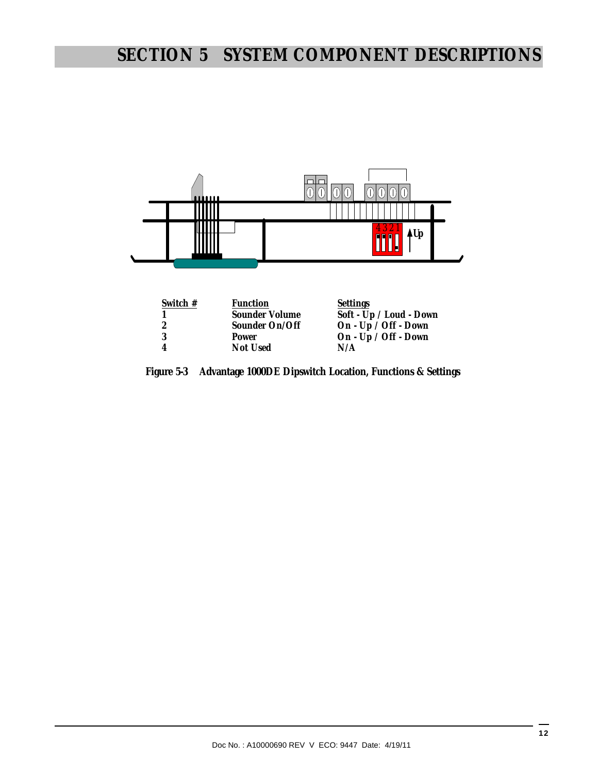# **SECTION 5 SYSTEM COMPONENT DESCRIPTIONS**



| Switch $#$ | <b>Function</b> | Settings                |
|------------|-----------------|-------------------------|
|            | Sounder Volume  | Soft - Up / Loud - Down |
|            | Sounder On/Off  | On - Up / Off - Down    |
|            | Power           | On - Up / Off - Down    |
|            | Not Used        | N/A                     |
|            |                 |                         |

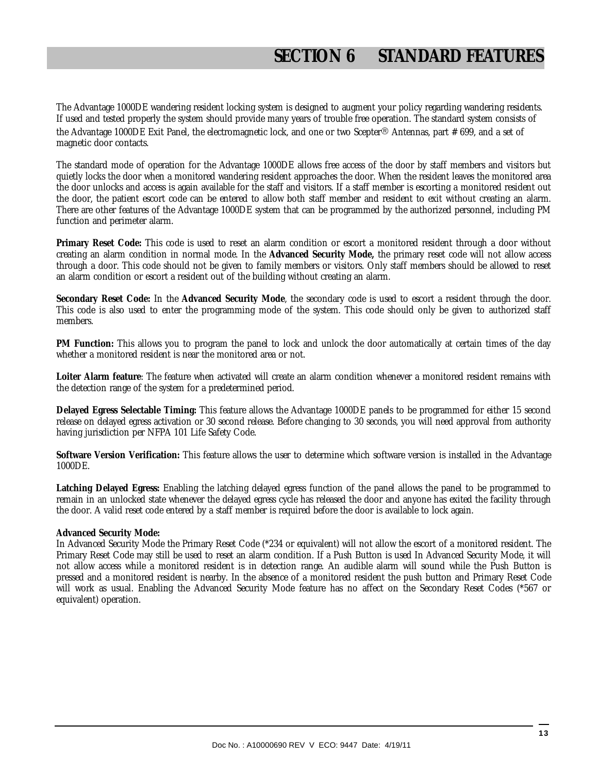The Advantage 1000DE wandering resident locking system is designed to augment your policy regarding wandering residents. If used and tested properly the system should provide many years of trouble free operation. The standard system consists of the Advantage 1000DE Exit Panel, the electromagnetic lock, and one or two Scepter® Antennas, part # 699, and a set of magnetic door contacts.

The standard mode of operation for the Advantage 1000DE allows free access of the door by staff members and visitors but quietly locks the door when a monitored wandering resident approaches the door. When the resident leaves the monitored area the door unlocks and access is again available for the staff and visitors. If a staff member is escorting a monitored resident out the door, the patient escort code can be entered to allow both staff member and resident to exit without creating an alarm. There are other features of the Advantage 1000DE system that can be programmed by the authorized personnel, including PM function and perimeter alarm.

**Primary Reset Code:** This code is used to reset an alarm condition or escort a monitored resident through a door without creating an alarm condition in normal mode. In the **Advanced Security Mode,** the primary reset code will not allow access through a door. This code should not be given to family members or visitors. Only staff members should be allowed to reset an alarm condition or escort a resident out of the building without creating an alarm.

**Secondary Reset Code:** In the **Advanced Security Mode**, the secondary code is used to escort a resident through the door. This code is also used to enter the programming mode of the system. This code should only be given to authorized staff members.

**PM Function:** This allows you to program the panel to lock and unlock the door automatically at certain times of the day whether a monitored resident is near the monitored area or not.

**Loiter Alarm feature**: The feature when activated will create an alarm condition whenever a monitored resident remains with the detection range of the system for a predetermined period.

**Delayed Egress Selectable Timing:** This feature allows the Advantage 1000DE panels to be programmed for either 15 second release on delayed egress activation or 30 second release. Before changing to 30 seconds, you will need approval from authority having jurisdiction per NFPA 101 Life Safety Code.

**Software Version Verification:** This feature allows the user to determine which software version is installed in the Advantage 1000DE.

**Latching Delayed Egress:** Enabling the latching delayed egress function of the panel allows the panel to be programmed to remain in an unlocked state whenever the delayed egress cycle has released the door and anyone has exited the facility through the door. A valid reset code entered by a staff member is required before the door is available to lock again.

#### **Advanced Security Mode:**

In Advanced Security Mode the Primary Reset Code (\*234 or equivalent) will not allow the escort of a monitored resident. The Primary Reset Code may still be used to reset an alarm condition. If a Push Button is used In Advanced Security Mode, it will not allow access while a monitored resident is in detection range. An audible alarm will sound while the Push Button is pressed and a monitored resident is nearby. In the absence of a monitored resident the push button and Primary Reset Code will work as usual. Enabling the Advanced Security Mode feature has no affect on the Secondary Reset Codes (\*567 or equivalent) operation.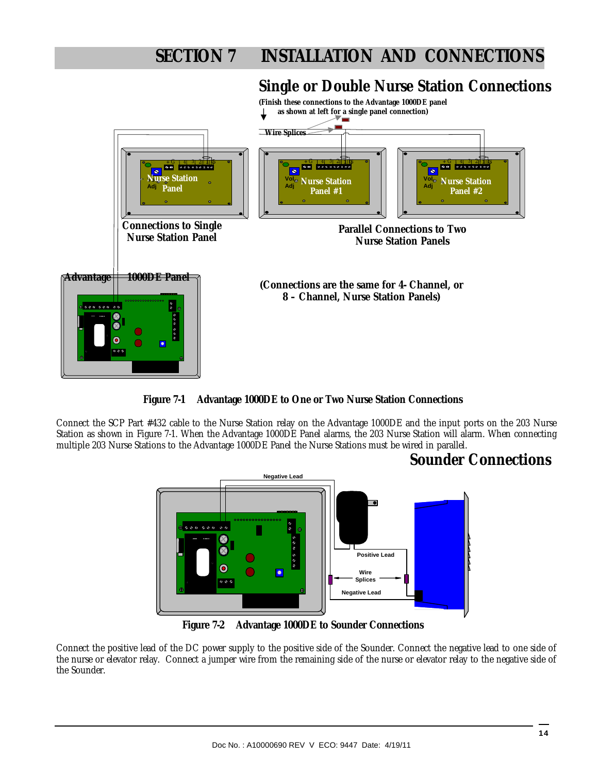## **Single or Double Nurse Station Connections**



**Figure 7-1 Advantage 1000DE to One or Two Nurse Station Connections**

Connect the SCP Part #432 cable to the Nurse Station relay on the Advantage 1000DE and the input ports on the 203 Nurse Station as shown in Figure 7-1. When the Advantage 1000DE Panel alarms, the 203 Nurse Station will alarm. When connecting multiple 203 Nurse Stations to the Advantage 1000DE Panel the Nurse Stations must be wired in parallel.

### **Sounder Connections**



**Figure 7-2 Advantage 1000DE to Sounder Connections** 

Connect the positive lead of the DC power supply to the positive side of the Sounder. Connect the negative lead to one side of the nurse or elevator relay. Connect a jumper wire from the remaining side of the nurse or elevator relay to the negative side of the Sounder.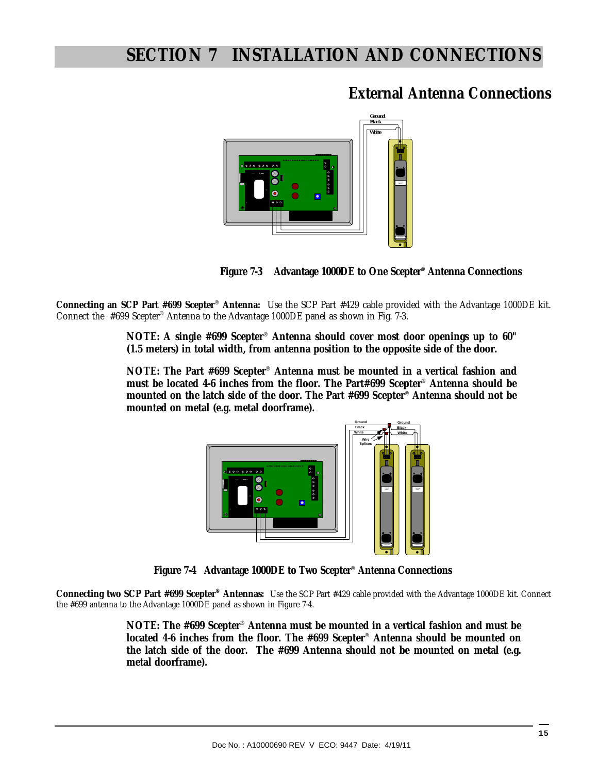## **External Antenna Connections**





**Connecting an SCP Part #699 Scepter**® **Antenna:** Use the SCP Part #429 cable provided with the Advantage 1000DE kit. Connect the #699 Scepter® Antenna to the Advantage 1000DE panel as shown in Fig. 7-3.

> **NOTE: A single #699 Scepter**® **Antenna should cover most door openings up to 60" (1.5 meters) in total width, from antenna position to the opposite side of the door.**

> **NOTE: The Part #699 Scepter**® **Antenna must be mounted in a vertical fashion and must be located 4-6 inches from the floor. The Part#699 Scepter**® **Antenna should be mounted on the latch side of the door. The Part #699 Scepter**® **Antenna should not be mounted on metal (e.g. metal doorframe).**



**Figure 7-4 Advantage 1000DE to Two Scepter**® **Antenna Connections** 

**Connecting two SCP Part #699 Scepter® Antennas:** Use the SCP Part #429 cable provided with the Advantage 1000DE kit. Connect the #699 antenna to the Advantage 1000DE panel as shown in Figure 7-4.

> **NOTE: The #699 Scepter**® **Antenna must be mounted in a vertical fashion and must be located 4-6 inches from the floor. The #699 Scepter**® **Antenna should be mounted on the latch side of the door. The #699 Antenna should not be mounted on metal (e.g. metal doorframe).**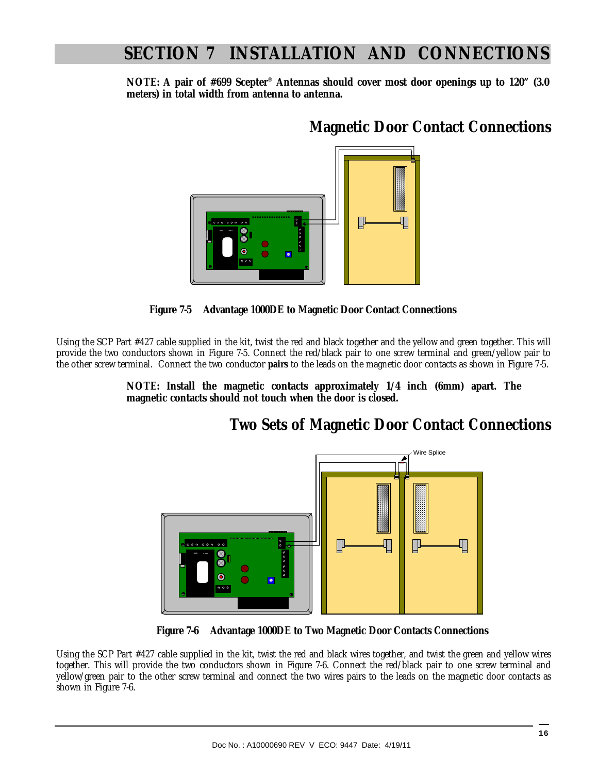**NOTE: A pair of #699 Scepter**® **Antennas should cover most door openings up to 120" (3.0 meters) in total width from antenna to antenna.** 

## **Magnetic Door Contact Connections**





Using the SCP Part #427 cable supplied in the kit, twist the red and black together and the yellow and green together. This will provide the two conductors shown in Figure 7-5. Connect the red/black pair to one screw terminal and green/yellow pair to the other screw terminal. Connect the two conductor **pairs** to the leads on the magnetic door contacts as shown in Figure 7-5.

> **NOTE: Install the magnetic contacts approximately 1/4 inch (6mm) apart. The magnetic contacts should not touch when the door is closed.**

## **Two Sets of Magnetic Door Contact Connections**



 **Figure 7-6 Advantage 1000DE to Two Magnetic Door Contacts Connections** 

Using the SCP Part #427 cable supplied in the kit, twist the red and black wires together, and twist the green and yellow wires together. This will provide the two conductors shown in Figure 7-6. Connect the red/black pair to one screw terminal and yellow/green pair to the other screw terminal and connect the two wires pairs to the leads on the magnetic door contacts as shown in Figure 7-6.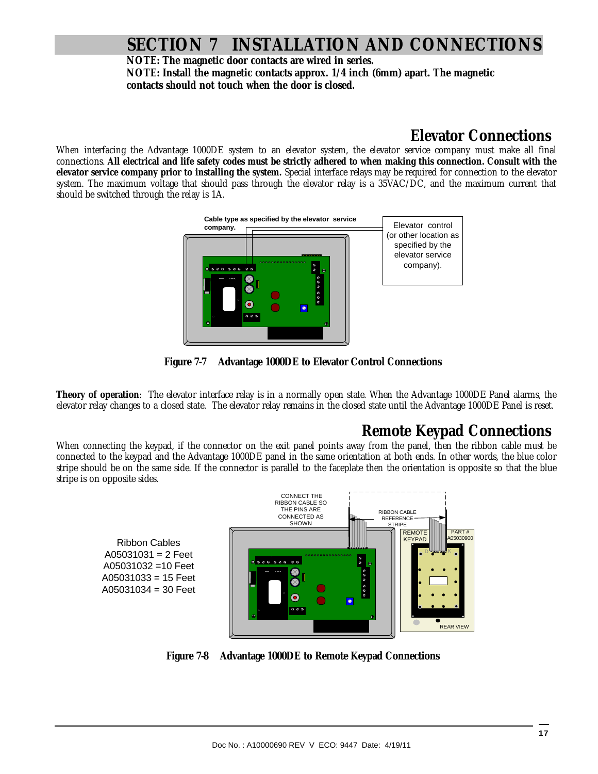**NOTE: The magnetic door contacts are wired in series. NOTE: Install the magnetic contacts approx. 1/4 inch (6mm) apart. The magnetic contacts should not touch when the door is closed.** 

### **Elevator Connections**

When interfacing the Advantage 1000DE system to an elevator system, the elevator service company must make all final connections. **All electrical and life safety codes must be strictly adhered to when making this connection. Consult with the elevator service company prior to installing the system.** Special interface relays may be required for connection to the elevator system. The maximum voltage that should pass through the elevator relay is a 35VAC/DC, and the maximum current that should be switched through the relay is 1A.



**Figure 7-7 Advantage 1000DE to Elevator Control Connections** 

**Theory of operation**: The elevator interface relay is in a normally open state. When the Advantage 1000DE Panel alarms, the elevator relay changes to a closed state. The elevator relay remains in the closed state until the Advantage 1000DE Panel is reset.

## **Remote Keypad Connections**

When connecting the keypad, if the connector on the exit panel points away from the panel, then the ribbon cable must be connected to the keypad and the Advantage 1000DE panel in the same orientation at both ends. In other words, the blue color stripe should be on the same side. If the connector is parallel to the faceplate then the orientation is opposite so that the blue stripe is on opposite sides.

Ribbon Cables  $A05031031 = 2$  Feet A05031032 =10 Feet A05031033 = 15 Feet A05031034 = 30 Feet



**Figure 7-8 Advantage 1000DE to Remote Keypad Connections**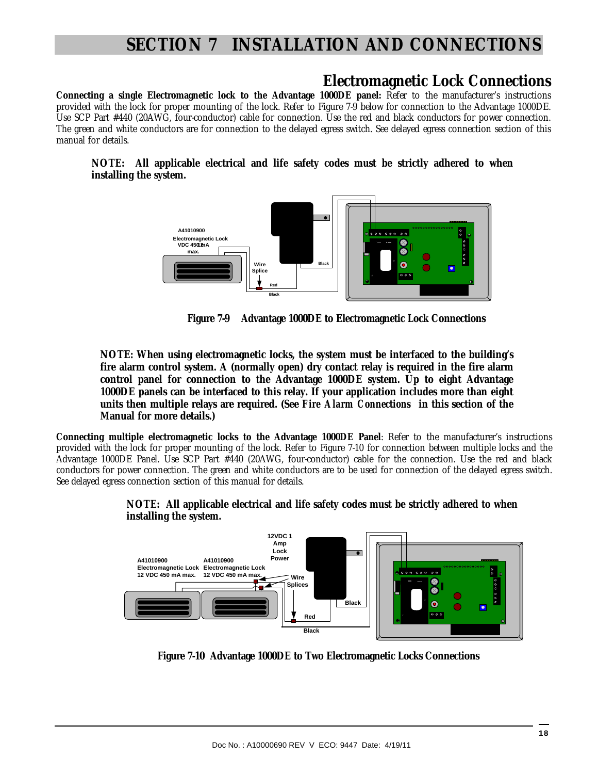### **Electromagnetic Lock Connections**

**Connecting a single Electromagnetic lock to the Advantage 1000DE panel:** Refer to the manufacturer's instructions provided with the lock for proper mounting of the lock. Refer to Figure 7-9 below for connection to the Advantage 1000DE. Use SCP Part #440 (20AWG, four-conductor) cable for connection. Use the red and black conductors for power connection. The green and white conductors are for connection to the delayed egress switch. See delayed egress connection section of this manual for details.

#### **NOTE: All applicable electrical and life safety codes must be strictly adhered to when installing the system.**



 **Figure 7-9 Advantage 1000DE to Electromagnetic Lock Connections** 

**NOTE: When using electromagnetic locks, the system must be interfaced to the building's fire alarm control system. A (normally open) dry contact relay is required in the fire alarm control panel for connection to the Advantage 1000DE system. Up to eight Advantage 1000DE panels can be interfaced to this relay. If your application includes more than eight units then multiple relays are required. (See** *Fire Alarm Connections* **in this section of the Manual for more details.)** 

**Connecting multiple electromagnetic locks to the Advantage 1000DE Panel**: Refer to the manufacturer's instructions provided with the lock for proper mounting of the lock. Refer to Figure 7-10 for connection between multiple locks and the Advantage 1000DE Panel. Use SCP Part #440 (20AWG, four-conductor) cable for the connection. Use the red and black conductors for power connection. The green and white conductors are to be used for connection of the delayed egress switch. See delayed egress connection section of this manual for details.



**NOTE: All applicable electrical and life safety codes must be strictly adhered to when installing the system.** 

 **Figure 7-10 Advantage 1000DE to Two Electromagnetic Locks Connections**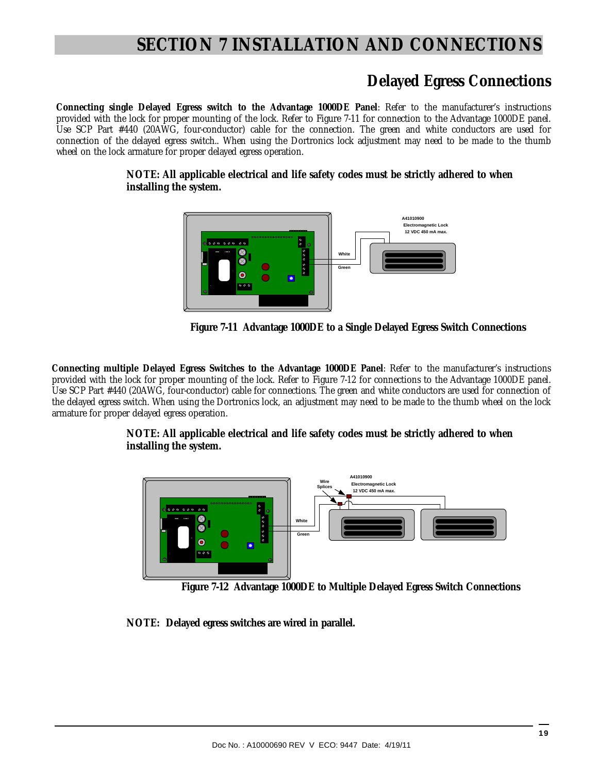### **Delayed Egress Connections**

**Connecting single Delayed Egress switch to the Advantage 1000DE Panel**: Refer to the manufacturer's instructions provided with the lock for proper mounting of the lock. Refer to Figure 7-11 for connection to the Advantage 1000DE panel. Use SCP Part #440 (20AWG, four-conductor) cable for the connection. The green and white conductors are used for connection of the delayed egress switch.. When using the Dortronics lock adjustment may need to be made to the thumb wheel on the lock armature for proper delayed egress operation.

> **NOTE: All applicable electrical and life safety codes must be strictly adhered to when installing the system.**



 **Figure 7-11 Advantage 1000DE to a Single Delayed Egress Switch Connections** 

**Connecting multiple Delayed Egress Switches to the Advantage 1000DE Panel**: Refer to the manufacturer's instructions provided with the lock for proper mounting of the lock. Refer to Figure 7-12 for connections to the Advantage 1000DE panel. Use SCP Part #440 (20AWG, four-conductor) cable for connections. The green and white conductors are used for connection of the delayed egress switch. When using the Dortronics lock, an adjustment may need to be made to the thumb wheel on the lock armature for proper delayed egress operation.

#### **NOTE: All applicable electrical and life safety codes must be strictly adhered to when installing the system.**



 **Figure 7-12 Advantage 1000DE to Multiple Delayed Egress Switch Connections** 

**NOTE: Delayed egress switches are wired in parallel.**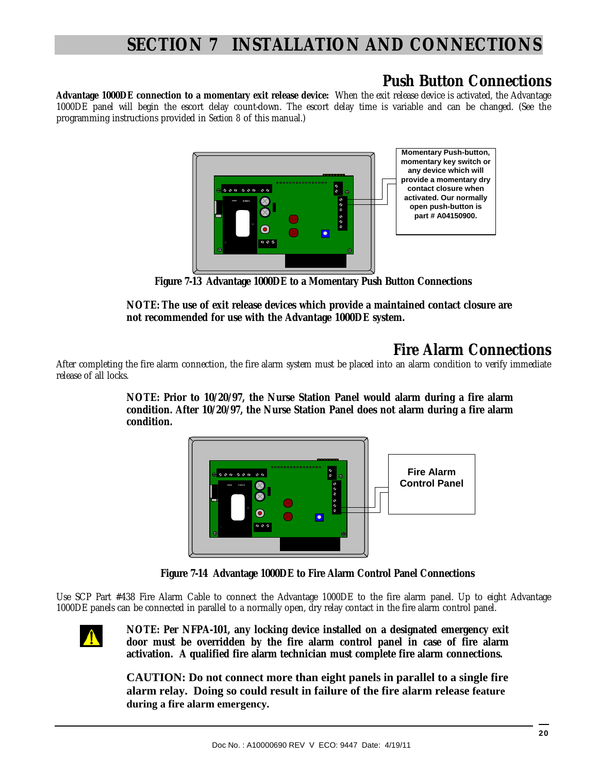## **Push Button Connections**

**Advantage 1000DE connection to a momentary exit release device:** When the exit release device is activated, the Advantage 1000DE panel will begin the escort delay count-down. The escort delay time is variable and can be changed. (See the programming instructions provided in *Section 8* of this manual.)



 **Figure 7-13 Advantage 1000DE to a Momentary Push Button Connections**

**NOTE: The use of exit release devices which provide a maintained contact closure are not recommended for use with the Advantage 1000DE system.** 

## **Fire Alarm Connections**

After completing the fire alarm connection, the fire alarm system must be placed into an alarm condition to verify immediate release of all locks.

> **NOTE: Prior to 10/20/97, the Nurse Station Panel would alarm during a fire alarm condition. After 10/20/97, the Nurse Station Panel does not alarm during a fire alarm condition.**



 **Figure 7-14 Advantage 1000DE to Fire Alarm Control Panel Connections**

Use SCP Part #438 Fire Alarm Cable to connect the Advantage 1000DE to the fire alarm panel. Up to eight Advantage 1000DE panels can be connected in parallel to a normally open, dry relay contact in the fire alarm control panel.



**NOTE: Per NFPA-101, any locking device installed on a designated emergency exit door must be overridden by the fire alarm control panel in case of fire alarm activation. A qualified fire alarm technician must complete fire alarm connections.** 

**CAUTION: Do not connect more than eight panels in parallel to a single fire alarm relay. Doing so could result in failure of the fire alarm release feature during a fire alarm emergency.**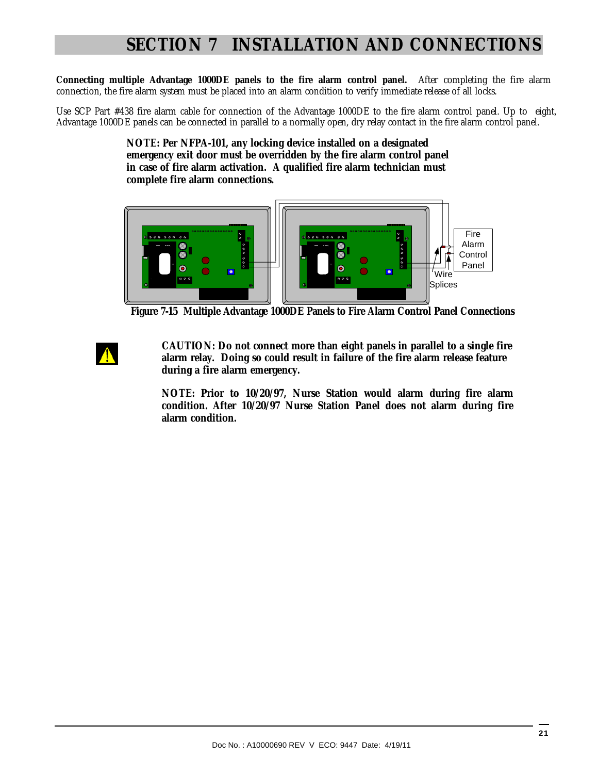**Connecting multiple Advantage 1000DE panels to the fire alarm control panel.** After completing the fire alarm connection, the fire alarm system must be placed into an alarm condition to verify immediate release of all locks.

Use SCP Part #438 fire alarm cable for connection of the Advantage 1000DE to the fire alarm control panel. Up to eight, Advantage 1000DE panels can be connected in parallel to a normally open, dry relay contact in the fire alarm control panel.

> **NOTE: Per NFPA-101, any locking device installed on a designated emergency exit door must be overridden by the fire alarm control panel in case of fire alarm activation. A qualified fire alarm technician must complete fire alarm connections.**



 **Figure 7-15 Multiple Advantage 1000DE Panels to Fire Alarm Control Panel Connections** 

 **CAUTION: Do not connect more than eight panels in parallel to a single fire alarm relay. Doing so could result in failure of the fire alarm release feature during a fire alarm emergency.** 

**NOTE: Prior to 10/20/97, Nurse Station would alarm during fire alarm condition. After 10/20/97 Nurse Station Panel does not alarm during fire alarm condition.**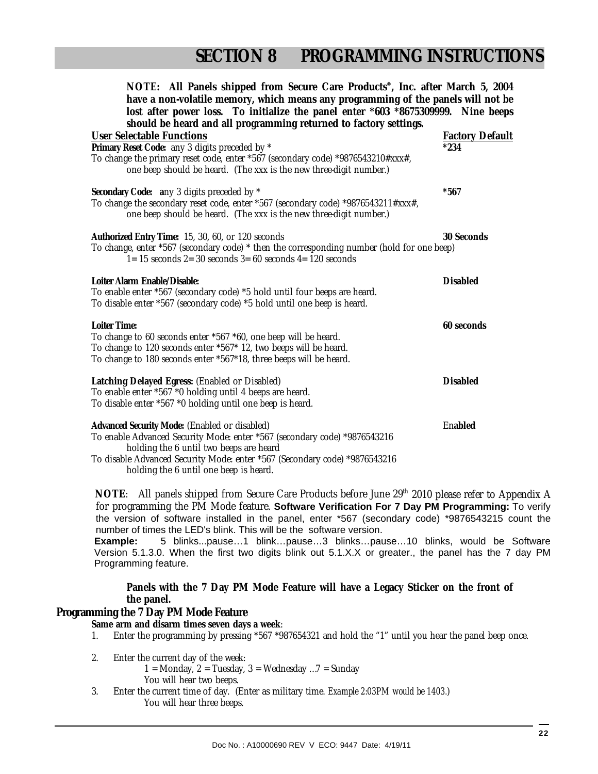| NOTE: All Panels shipped from Secure Care Products <sup>®</sup> , Inc. after March 5, 2004                                                                 |                        |
|------------------------------------------------------------------------------------------------------------------------------------------------------------|------------------------|
| have a non-volatile memory, which means any programming of the panels will not be                                                                          |                        |
| lost after power loss. To initialize the panel enter *603 *8675309999. Nine beeps                                                                          |                        |
| should be heard and all programming returned to factory settings.                                                                                          |                        |
| <b>User Selectable Functions</b>                                                                                                                           | <b>Factory Default</b> |
| Primary Reset Code: any 3 digits preceded by *                                                                                                             | $*234$                 |
| To change the primary reset code, enter *567 (secondary code) *9876543210#xxx#,<br>one beep should be heard. (The xxx is the new three-digit number.)      |                        |
| Secondary Code: any 3 digits preceded by *                                                                                                                 | $*567$                 |
| To change the secondary reset code, enter *567 (secondary code) *9876543211#xxx#,<br>one beep should be heard. (The xxx is the new three-digit number.)    |                        |
| Authorized Entry Time: 15, 30, 60, or 120 seconds                                                                                                          | 30 Seconds             |
| To change, enter *567 (secondary code) * then the corresponding number (hold for one beep)<br>$1=15$ seconds $2=30$ seconds $3=60$ seconds $4=120$ seconds |                        |
| Loiter Alarm Enable/Disable:                                                                                                                               | <b>Disabled</b>        |
| To enable enter *567 (secondary code) *5 hold until four beeps are heard.                                                                                  |                        |
| To disable enter *567 (secondary code) *5 hold until one beep is heard.                                                                                    |                        |
| Loiter Time:                                                                                                                                               | 60 seconds             |
| To change to 60 seconds enter *567 *60, one beep will be heard.                                                                                            |                        |
| To change to 120 seconds enter *567* 12, two beeps will be heard.                                                                                          |                        |
| To change to 180 seconds enter *567*18, three beeps will be heard.                                                                                         |                        |
| Latching Delayed Egress: (Enabled or Disabled)                                                                                                             | <b>Disabled</b>        |
| To enable enter *567 *0 holding until 4 beeps are heard.                                                                                                   |                        |
| To disable enter *567 *0 holding until one beep is heard.                                                                                                  |                        |
| Advanced Security Mode: (Enabled or disabled)                                                                                                              | Enabled                |
| To enable Advanced Security Mode: enter *567 (secondary code) *9876543216                                                                                  |                        |
| holding the 6 until two beeps are heard                                                                                                                    |                        |
| To disable Advanced Security Mode: enter *567 (Secondary code) *9876543216                                                                                 |                        |
| holding the 6 until one beep is heard.                                                                                                                     |                        |

**NOTE:** All panels shipped from Secure Care Products before June 29<sup>th</sup> 2010 please refer to Appendix A for programming the PM Mode feature. **Software Verification For 7 Day PM Programming:** To verify the version of software installed in the panel, enter \*567 (secondary code) \*9876543215 count the number of times the LED's blink. This will be the software version.

**Example:** 5 blinks...pause…1 blink…pause…3 blinks…pause…10 blinks, would be Software Version 5.1.3.0. When the first two digits blink out 5.1.X.X or greater., the panel has the 7 day PM Programming feature.

**Panels with the 7 Day PM Mode Feature will have a Legacy Sticker on the front of the panel.** 

#### **Programming the 7 Day PM Mode Feature**

- **Same arm and disarm times seven days a week**:
- 1. Enter the programming by pressing \*567 \*987654321 and hold the "1" until you hear the panel beep once.
- 2. Enter the current day of the week:
	- 1 = Monday,  $2 =$  Tuesday,  $3 =$  Wednesday ... $7 =$  Sunday
	- You will hear two beeps.
- 3. Enter the current time of day. (Enter as military time. *Example 2:03PM would be 1403.*) You will hear three beeps.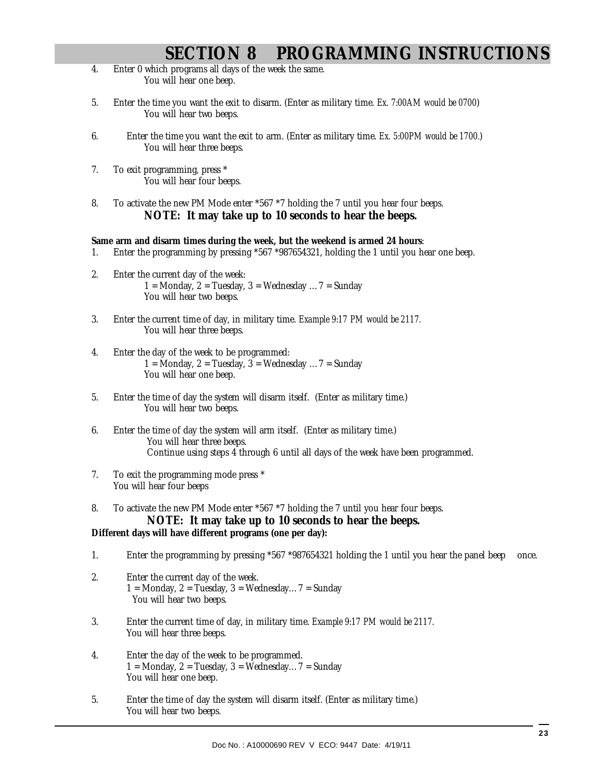# **SECTION 8 PROGRAMMING INSTRUCTIONS**

- 4. Enter 0 which programs all days of the week the same. You will hear one beep.
- 5. Enter the time you want the exit to disarm. (Enter as military time. *Ex. 7:00AM would be 0700*) You will hear two beeps.
- 6. Enter the time you want the exit to arm. (Enter as military time. *Ex. 5:00PM would be 1700.*) You will hear three beeps.
- 7. To exit programming, press \* You will hear four beeps.
- 8. To activate the new PM Mode enter \*567 \*7 holding the 7 until you hear four beeps. **NOTE: It may take up to 10 seconds to hear the beeps.**

#### **Same arm and disarm times during the week, but the weekend is armed 24 hours**:

- 1. Enter the programming by pressing \*567 \*987654321, holding the 1 until you hear one beep.
- 2. Enter the current day of the week: 1 = Monday, 2 = Tuesday, 3 = Wednesday ...  $7$  = Sunday You will hear two beeps.
- 3. Enter the current time of day, in military time. *Example 9:17 PM would be 2117.* You will hear three beeps.
- 4. Enter the day of the week to be programmed: 1 = Monday, 2 = Tuesday, 3 = Wednesday  $\ldots$  7 = Sunday You will hear one beep.
- 5. Enter the time of day the system will disarm itself. (Enter as military time.) You will hear two beeps.
- 6. Enter the time of day the system will arm itself. (Enter as military time.) You will hear three beeps. Continue using steps 4 through 6 until all days of the week have been programmed.
- 7. To exit the programming mode press \* You will hear four beeps
- 8. To activate the new PM Mode enter \*567 \*7 holding the 7 until you hear four beeps. **NOTE: It may take up to 10 seconds to hear the beeps.**

#### **Different days will have different programs (one per day):**

- 1. Enter the programming by pressing \*567 \*987654321 holding the 1 until you hear the panel beep once.
- 2. Enter the current day of the week. 1 = Monday,  $2 =$  Tuesday,  $3 =$  Wednesday...  $7 =$  Sunday You will hear two beeps.
- 3. Enter the current time of day, in military time. *Example 9:17 PM would be 2117.* You will hear three beeps.
- 4. Enter the day of the week to be programmed. 1 = Monday, 2 = Tuesday, 3 = Wednesday...  $7$  = Sunday You will hear one beep.
- 5. Enter the time of day the system will disarm itself. (Enter as military time.) You will hear two beeps.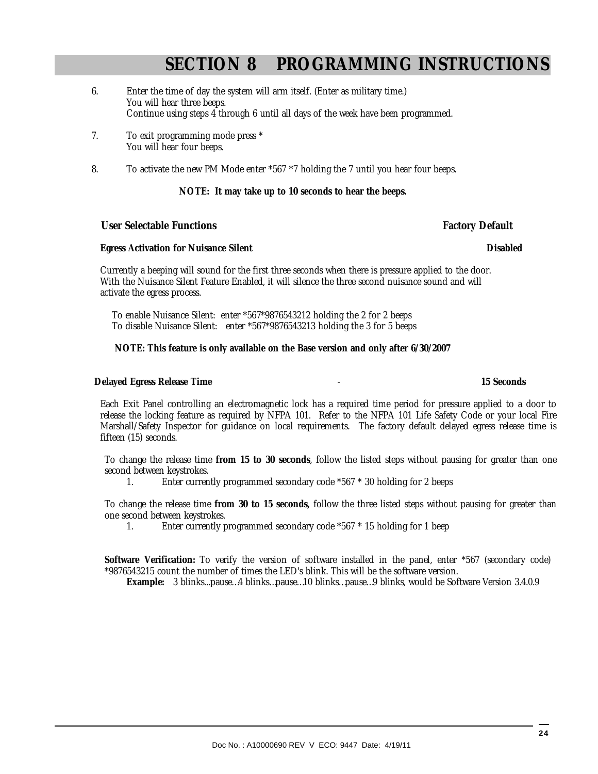# **SECTION 8 PROGRAMMING INSTRUCTIONS**

- 6. Enter the time of day the system will arm itself. (Enter as military time.) You will hear three beeps. Continue using steps 4 through 6 until all days of the week have been programmed.
- 7. To exit programming mode press \* You will hear four beeps.
- 8. To activate the new PM Mode enter \*567 \*7 holding the 7 until you hear four beeps.

#### **NOTE: It may take up to 10 seconds to hear the beeps.**

#### User Selectable Functions **Factory Default Factory Default**

#### **Egress Activation for Nuisance Silent Disabled** Disabled

Currently a beeping will sound for the first three seconds when there is pressure applied to the door. With the Nuisance Silent Feature Enabled, it will silence the three second nuisance sound and will activate the egress process.

 To enable Nuisance Silent: enter \*567\*9876543212 holding the 2 for 2 beeps To disable Nuisance Silent: enter \*567\*9876543213 holding the 3 for 5 beeps

#### **NOTE: This feature is only available on the Base version and only after 6/30/2007**

#### **Delayed Egress Release Time** - **15 Seconds**

Each Exit Panel controlling an electromagnetic lock has a required time period for pressure applied to a door to release the locking feature as required by NFPA 101. Refer to the NFPA 101 Life Safety Code or your local Fire Marshall/Safety Inspector for guidance on local requirements. The factory default delayed egress release time is fifteen (15) seconds.

To change the release time **from 15 to 30 seconds**, follow the listed steps without pausing for greater than one second between keystrokes.

1. Enter currently programmed secondary code \*567 \* 30 holding for 2 beeps

To change the release time **from 30 to 15 seconds,** follow the three listed steps without pausing for greater than one second between keystrokes.

1. Enter currently programmed secondary code \*567 \* 15 holding for 1 beep

**Software Verification:** To verify the version of software installed in the panel, enter \*567 (secondary code) \*9876543215 count the number of times the LED's blink. This will be the software version.

**Example:** 3 blinks...pause…4 blinks…pause…10 blinks…pause…9 blinks, would be Software Version 3.4.0.9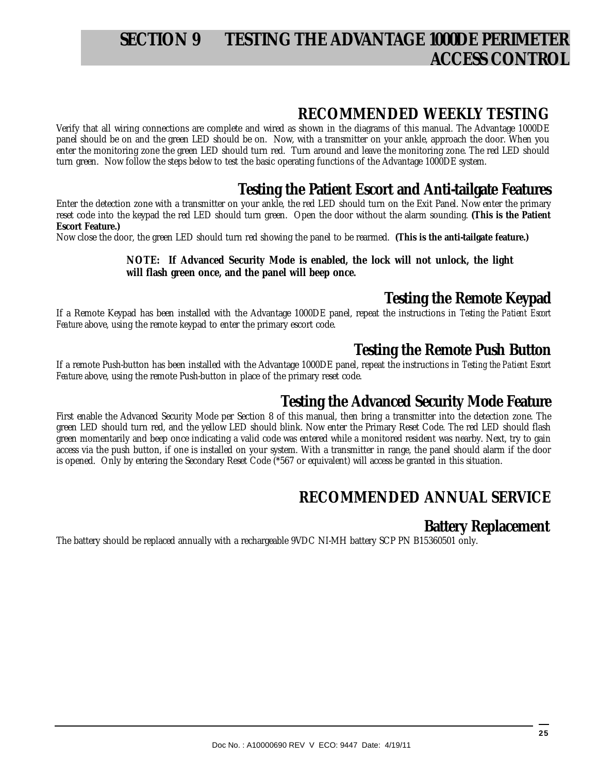# **SECTION 9 TESTING THE ADVANTAGE 1000DE PERIMETER ACCESS CONTROL**

### **RECOMMENDED WEEKLY TESTING**

Verify that all wiring connections are complete and wired as shown in the diagrams of this manual. The Advantage 1000DE panel should be on and the green LED should be on. Now, with a transmitter on your ankle, approach the door. When you enter the monitoring zone the green LED should turn red. Turn around and leave the monitoring zone. The red LED should turn green. Now follow the steps below to test the basic operating functions of the Advantage 1000DE system.

### **Testing the Patient Escort and Anti-tailgate Features**

Enter the detection zone with a transmitter on your ankle, the red LED should turn on the Exit Panel. Now enter the primary reset code into the keypad the red LED should turn green. Open the door without the alarm sounding. **(This is the Patient Escort Feature.)** 

Now close the door, the green LED should turn red showing the panel to be rearmed. **(This is the anti-tailgate feature.)** 

#### **NOTE: If Advanced Security Mode is enabled, the lock will not unlock, the light will flash green once, and the panel will beep once.**

### **Testing the Remote Keypad**

If a Remote Keypad has been installed with the Advantage 1000DE panel, repeat the instructions in *Testing the Patient Escort Feature* above, using the remote keypad to enter the primary escort code.

### **Testing the Remote Push Button**

If a remote Push-button has been installed with the Advantage 1000DE panel, repeat the instructions in *Testing the Patient Escort Feature* above, using the remote Push-button in place of the primary reset code.

### **Testing the Advanced Security Mode Feature**

First enable the Advanced Security Mode per Section 8 of this manual, then bring a transmitter into the detection zone. The green LED should turn red, and the yellow LED should blink. Now enter the Primary Reset Code. The red LED should flash green momentarily and beep once indicating a valid code was entered while a monitored resident was nearby. Next, try to gain access via the push button, if one is installed on your system. With a transmitter in range, the panel should alarm if the door is opened. Only by entering the Secondary Reset Code (\*567 or equivalent) will access be granted in this situation.

## **RECOMMENDED ANNUAL SERVICE**

### **Battery Replacement**

The battery should be replaced annually with a rechargeable 9VDC NI-MH battery SCP PN B15360501 only.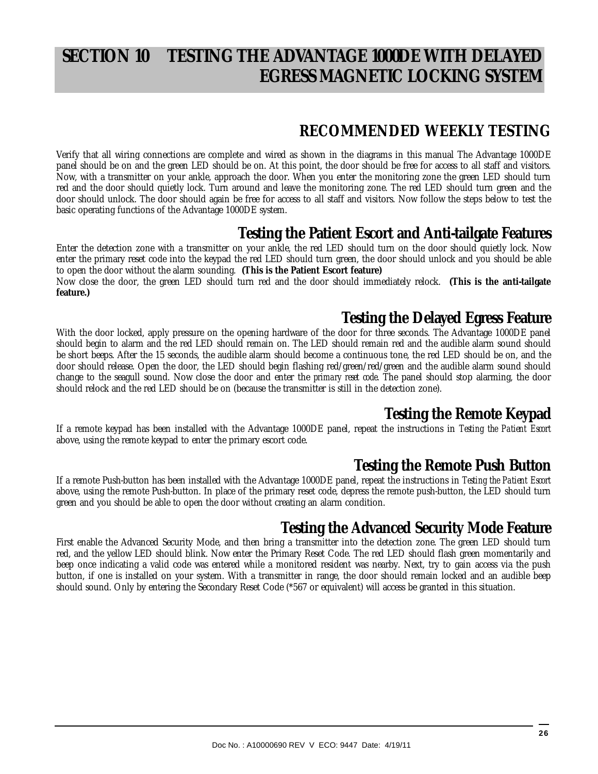# **SECTION 10 TESTING THE ADVANTAGE 1000DE WITH DELAYED EGRESS MAGNETIC LOCKING SYSTEM**

### **RECOMMENDED WEEKLY TESTING**

Verify that all wiring connections are complete and wired as shown in the diagrams in this manual The Advantage 1000DE panel should be on and the green LED should be on. At this point, the door should be free for access to all staff and visitors. Now, with a transmitter on your ankle, approach the door. When you enter the monitoring zone the green LED should turn red and the door should quietly lock. Turn around and leave the monitoring zone. The red LED should turn green and the door should unlock. The door should again be free for access to all staff and visitors. Now follow the steps below to test the basic operating functions of the Advantage 1000DE system.

### **Testing the Patient Escort and Anti-tailgate Features**

Enter the detection zone with a transmitter on your ankle, the red LED should turn on the door should quietly lock. Now enter the primary reset code into the keypad the red LED should turn green, the door should unlock and you should be able to open the door without the alarm sounding. **(This is the Patient Escort feature)**  Now close the door, the green LED should turn red and the door should immediately relock. **(This is the anti-tailgate feature.)**

### **Testing the Delayed Egress Feature**

With the door locked, apply pressure on the opening hardware of the door for three seconds. The Advantage 1000DE panel should begin to alarm and the red LED should remain on. The LED should remain red and the audible alarm sound should be short beeps. After the 15 seconds, the audible alarm should become a continuous tone, the red LED should be on, and the door should release. Open the door, the LED should begin flashing red/green/red/green and the audible alarm sound should change to the seagull sound. Now close the door and enter the *primary reset code*. The panel should stop alarming, the door should relock and the red LED should be on (because the transmitter is still in the detection zone).

### **Testing the Remote Keypad**

If a remote keypad has been installed with the Advantage 1000DE panel, repeat the instructions in *Testing the Patient Escort*  above, using the remote keypad to enter the primary escort code.

### **Testing the Remote Push Button**

If a remote Push-button has been installed with the Advantage 1000DE panel, repeat the instructions in *Testing the Patient Escort*  above, using the remote Push-button. In place of the primary reset code, depress the remote push-button, the LED should turn green and you should be able to open the door without creating an alarm condition.

### **Testing the Advanced Security Mode Feature**

First enable the Advanced Security Mode, and then bring a transmitter into the detection zone. The green LED should turn red, and the yellow LED should blink. Now enter the Primary Reset Code. The red LED should flash green momentarily and beep once indicating a valid code was entered while a monitored resident was nearby. Next, try to gain access via the push button, if one is installed on your system. With a transmitter in range, the door should remain locked and an audible beep should sound. Only by entering the Secondary Reset Code (\*567 or equivalent) will access be granted in this situation.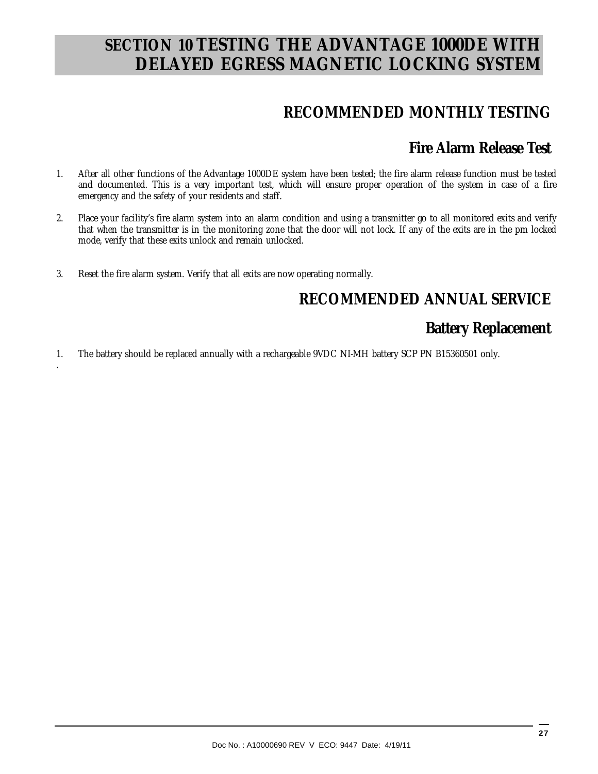# **SECTION 10 TESTING THE ADVANTAGE 1000DE WITH DELAYED EGRESS MAGNETIC LOCKING SYSTEM**

## **RECOMMENDED MONTHLY TESTING**

### **Fire Alarm Release Test**

- 1. After all other functions of the Advantage 1000DE system have been tested; the fire alarm release function must be tested and documented. This is a very important test, which will ensure proper operation of the system in case of a fire emergency and the safety of your residents and staff.
- 2. Place your facility's fire alarm system into an alarm condition and using a transmitter go to all monitored exits and verify that when the transmitter is in the monitoring zone that the door will not lock. If any of the exits are in the pm locked mode, verify that these exits unlock and remain unlocked.
- 3. Reset the fire alarm system. Verify that all exits are now operating normally.

.

## **RECOMMENDED ANNUAL SERVICE**

### **Battery Replacement**

1. The battery should be replaced annually with a rechargeable 9VDC NI-MH battery SCP PN B15360501 only.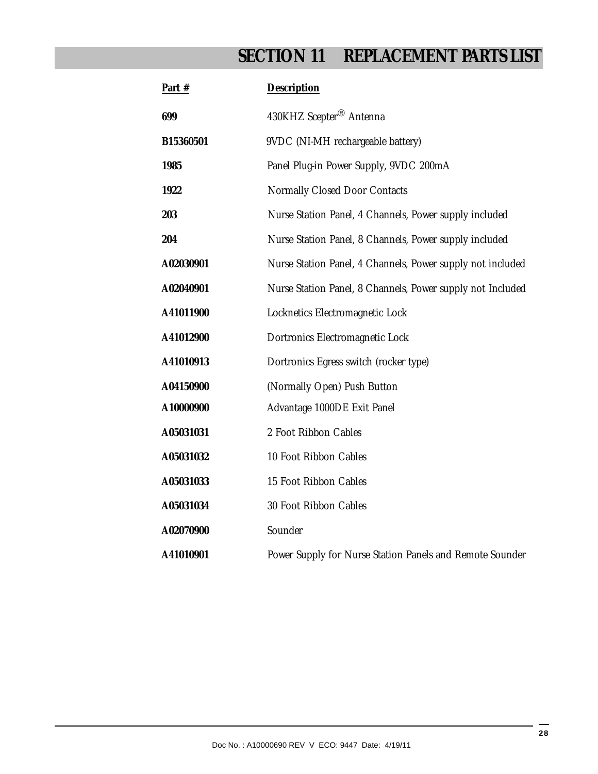# **SECTION 11 REPLACEMENT PARTS LIST**

| Part #    | Description                                                |
|-----------|------------------------------------------------------------|
| 699       | 430KHZ Scepter <sup>®</sup> Antenna                        |
| B15360501 | 9VDC (NI-MH rechargeable battery)                          |
| 1985      | Panel Plug-in Power Supply, 9VDC 200mA                     |
| 1922      | Normally Closed Door Contacts                              |
| 203       | Nurse Station Panel, 4 Channels, Power supply included     |
| 204       | Nurse Station Panel, 8 Channels, Power supply included     |
| A02030901 | Nurse Station Panel, 4 Channels, Power supply not included |
| A02040901 | Nurse Station Panel, 8 Channels, Power supply not Included |
| A41011900 | Locknetics Electromagnetic Lock                            |
| A41012900 | Dortronics Electromagnetic Lock                            |
| A41010913 | Dortronics Egress switch (rocker type)                     |
| A04150900 | (Normally Open) Push Button                                |
| A10000900 | Advantage 1000DE Exit Panel                                |
| A05031031 | 2 Foot Ribbon Cables                                       |
| A05031032 | 10 Foot Ribbon Cables                                      |
| A05031033 | 15 Foot Ribbon Cables                                      |
| A05031034 | 30 Foot Ribbon Cables                                      |
| A02070900 | Sounder                                                    |
| A41010901 | Power Supply for Nurse Station Panels and Remote Sounder   |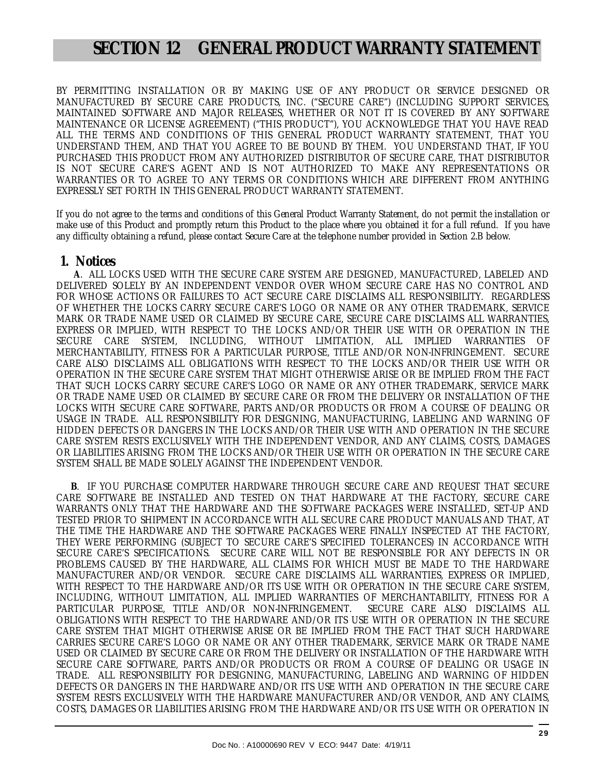## **SECTION 12 GENERAL PRODUCT WARRANTY STATEMENT**

BY PERMITTING INSTALLATION OR BY MAKING USE OF ANY PRODUCT OR SERVICE DESIGNED OR MANUFACTURED BY SECURE CARE PRODUCTS, INC. ("SECURE CARE") (INCLUDING SUPPORT SERVICES, MAINTAINED SOFTWARE AND MAJOR RELEASES, WHETHER OR NOT IT IS COVERED BY ANY SOFTWARE MAINTENANCE OR LICENSE AGREEMENT) ("THIS PRODUCT"), YOU ACKNOWLEDGE THAT YOU HAVE READ ALL THE TERMS AND CONDITIONS OF THIS GENERAL PRODUCT WARRANTY STATEMENT, THAT YOU UNDERSTAND THEM, AND THAT YOU AGREE TO BE BOUND BY THEM. YOU UNDERSTAND THAT, IF YOU PURCHASED THIS PRODUCT FROM ANY AUTHORIZED DISTRIBUTOR OF SECURE CARE, THAT DISTRIBUTOR IS NOT SECURE CARE'S AGENT AND IS NOT AUTHORIZED TO MAKE ANY REPRESENTATIONS OR WARRANTIES OR TO AGREE TO ANY TERMS OR CONDITIONS WHICH ARE DIFFERENT FROM ANYTHING EXPRESSLY SET FORTH IN THIS GENERAL PRODUCT WARRANTY STATEMENT.

If you do not agree to the terms and conditions of this General Product Warranty Statement, do not permit the installation or make use of this Product and promptly return this Product to the place where you obtained it for a full refund. If you have any difficulty obtaining a refund, please contact Secure Care at the telephone number provided in Section 2.B below.

#### **1. Notices**

 **A**. ALL LOCKS USED WITH THE SECURE CARE SYSTEM ARE DESIGNED, MANUFACTURED, LABELED AND DELIVERED SOLELY BY AN INDEPENDENT VENDOR OVER WHOM SECURE CARE HAS NO CONTROL AND FOR WHOSE ACTIONS OR FAILURES TO ACT SECURE CARE DISCLAIMS ALL RESPONSIBILITY. REGARDLESS OF WHETHER THE LOCKS CARRY SECURE CARE'S LOGO OR NAME OR ANY OTHER TRADEMARK, SERVICE MARK OR TRADE NAME USED OR CLAIMED BY SECURE CARE, SECURE CARE DISCLAIMS ALL WARRANTIES, EXPRESS OR IMPLIED, WITH RESPECT TO THE LOCKS AND/OR THEIR USE WITH OR OPERATION IN THE SECURE CARE SYSTEM, INCLUDING, WITHOUT LIMITATION, ALL IMPLIED WARRANTIES OF MERCHANTABILITY, FITNESS FOR A PARTICULAR PURPOSE, TITLE AND/OR NON-INFRINGEMENT. SECURE CARE ALSO DISCLAIMS ALL OBLIGATIONS WITH RESPECT TO THE LOCKS AND/OR THEIR USE WITH OR OPERATION IN THE SECURE CARE SYSTEM THAT MIGHT OTHERWISE ARISE OR BE IMPLIED FROM THE FACT THAT SUCH LOCKS CARRY SECURE CARE'S LOGO OR NAME OR ANY OTHER TRADEMARK, SERVICE MARK OR TRADE NAME USED OR CLAIMED BY SECURE CARE OR FROM THE DELIVERY OR INSTALLATION OF THE LOCKS WITH SECURE CARE SOFTWARE, PARTS AND/OR PRODUCTS OR FROM A COURSE OF DEALING OR USAGE IN TRADE. ALL RESPONSIBILITY FOR DESIGNING, MANUFACTURING, LABELING AND WARNING OF HIDDEN DEFECTS OR DANGERS IN THE LOCKS AND/OR THEIR USE WITH AND OPERATION IN THE SECURE CARE SYSTEM RESTS EXCLUSIVELY WITH THE INDEPENDENT VENDOR, AND ANY CLAIMS, COSTS, DAMAGES OR LIABILITIES ARISING FROM THE LOCKS AND/OR THEIR USE WITH OR OPERATION IN THE SECURE CARE SYSTEM SHALL BE MADE SOLELY AGAINST THE INDEPENDENT VENDOR.

 **B**. IF YOU PURCHASE COMPUTER HARDWARE THROUGH SECURE CARE AND REQUEST THAT SECURE CARE SOFTWARE BE INSTALLED AND TESTED ON THAT HARDWARE AT THE FACTORY, SECURE CARE WARRANTS ONLY THAT THE HARDWARE AND THE SOFTWARE PACKAGES WERE INSTALLED, SET-UP AND TESTED PRIOR TO SHIPMENT IN ACCORDANCE WITH ALL SECURE CARE PRODUCT MANUALS AND THAT, AT THE TIME THE HARDWARE AND THE SOFTWARE PACKAGES WERE FINALLY INSPECTED AT THE FACTORY, THEY WERE PERFORMING (SUBJECT TO SECURE CARE'S SPECIFIED TOLERANCES) IN ACCORDANCE WITH SECURE CARE'S SPECIFICATIONS. SECURE CARE WILL NOT BE RESPONSIBLE FOR ANY DEFECTS IN OR PROBLEMS CAUSED BY THE HARDWARE, ALL CLAIMS FOR WHICH MUST BE MADE TO THE HARDWARE MANUFACTURER AND/OR VENDOR. SECURE CARE DISCLAIMS ALL WARRANTIES, EXPRESS OR IMPLIED, WITH RESPECT TO THE HARDWARE AND/OR ITS USE WITH OR OPERATION IN THE SECURE CARE SYSTEM, INCLUDING, WITHOUT LIMITATION, ALL IMPLIED WARRANTIES OF MERCHANTABILITY, FITNESS FOR A PARTICULAR PURPOSE, TITLE AND/OR NON-INFRINGEMENT. OBLIGATIONS WITH RESPECT TO THE HARDWARE AND/OR ITS USE WITH OR OPERATION IN THE SECURE CARE SYSTEM THAT MIGHT OTHERWISE ARISE OR BE IMPLIED FROM THE FACT THAT SUCH HARDWARE CARRIES SECURE CARE'S LOGO OR NAME OR ANY OTHER TRADEMARK, SERVICE MARK OR TRADE NAME USED OR CLAIMED BY SECURE CARE OR FROM THE DELIVERY OR INSTALLATION OF THE HARDWARE WITH SECURE CARE SOFTWARE, PARTS AND/OR PRODUCTS OR FROM A COURSE OF DEALING OR USAGE IN TRADE. ALL RESPONSIBILITY FOR DESIGNING, MANUFACTURING, LABELING AND WARNING OF HIDDEN DEFECTS OR DANGERS IN THE HARDWARE AND/OR ITS USE WITH AND OPERATION IN THE SECURE CARE SYSTEM RESTS EXCLUSIVELY WITH THE HARDWARE MANUFACTURER AND/OR VENDOR, AND ANY CLAIMS, COSTS, DAMAGES OR LIABILITIES ARISING FROM THE HARDWARE AND/OR ITS USE WITH OR OPERATION IN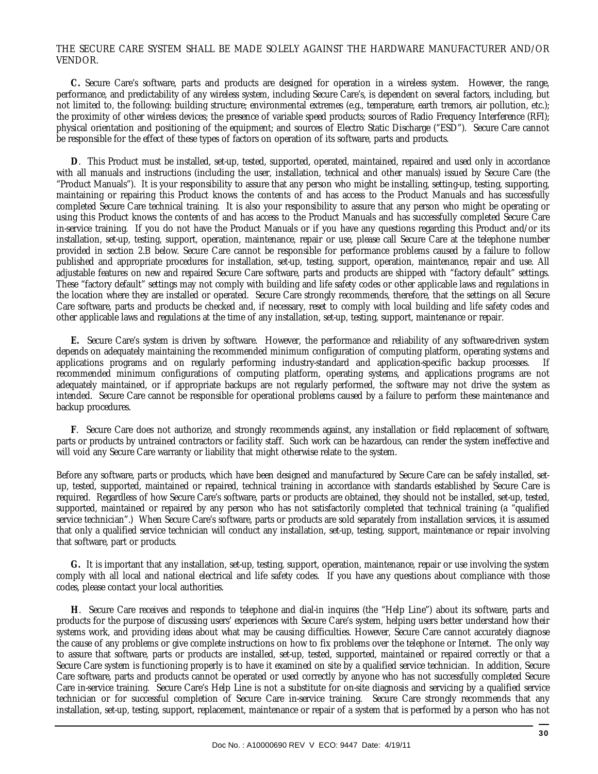#### THE SECURE CARE SYSTEM SHALL BE MADE SOLELY AGAINST THE HARDWARE MANUFACTURER AND/OR VENDOR.

 **C.** Secure Care's software, parts and products are designed for operation in a wireless system. However, the range, performance, and predictability of any wireless system, including Secure Care's, is dependent on several factors, including, but not limited to, the following: building structure; environmental extremes (e.g., temperature, earth tremors, air pollution, etc.); the proximity of other wireless devices; the presence of variable speed products; sources of Radio Frequency Interference (RFI); physical orientation and positioning of the equipment; and sources of Electro Static Discharge ("ESD"). Secure Care cannot be responsible for the effect of these types of factors on operation of its software, parts and products.

 **D**. This Product must be installed, set-up, tested, supported, operated, maintained, repaired and used only in accordance with all manuals and instructions (including the user, installation, technical and other manuals) issued by Secure Care (the "Product Manuals"). It is your responsibility to assure that any person who might be installing, setting-up, testing, supporting, maintaining or repairing this Product knows the contents of and has access to the Product Manuals and has successfully completed Secure Care technical training. It is also your responsibility to assure that any person who might be operating or using this Product knows the contents of and has access to the Product Manuals and has successfully completed Secure Care in-service training. If you do not have the Product Manuals or if you have any questions regarding this Product and/or its installation, set-up, testing, support, operation, maintenance, repair or use, please call Secure Care at the telephone number provided in section 2.B below. Secure Care cannot be responsible for performance problems caused by a failure to follow published and appropriate procedures for installation, set-up, testing, support, operation, maintenance, repair and use. All adjustable features on new and repaired Secure Care software, parts and products are shipped with "factory default" settings. These "factory default" settings may not comply with building and life safety codes or other applicable laws and regulations in the location where they are installed or operated. Secure Care strongly recommends, therefore, that the settings on all Secure Care software, parts and products be checked and, if necessary, reset to comply with local building and life safety codes and other applicable laws and regulations at the time of any installation, set-up, testing, support, maintenance or repair.

 **E.** Secure Care's system is driven by software. However, the performance and reliability of any software-driven system depends on adequately maintaining the recommended minimum configuration of computing platform, operating systems and applications programs and on regularly performing industry-standard and application-specific backup processes. If recommended minimum configurations of computing platform, operating systems, and applications programs are not adequately maintained, or if appropriate backups are not regularly performed, the software may not drive the system as intended. Secure Care cannot be responsible for operational problems caused by a failure to perform these maintenance and backup procedures.

 **F**. Secure Care does not authorize, and strongly recommends against, any installation or field replacement of software, parts or products by untrained contractors or facility staff. Such work can be hazardous, can render the system ineffective and will void any Secure Care warranty or liability that might otherwise relate to the system.

Before any software, parts or products, which have been designed and manufactured by Secure Care can be safely installed, setup, tested, supported, maintained or repaired, technical training in accordance with standards established by Secure Care is required. Regardless of how Secure Care's software, parts or products are obtained, they should not be installed, set-up, tested, supported, maintained or repaired by any person who has not satisfactorily completed that technical training (a "qualified service technician".) When Secure Care's software, parts or products are sold separately from installation services, it is assumed that only a qualified service technician will conduct any installation, set-up, testing, support, maintenance or repair involving that software, part or products.

 **G.** It is important that any installation, set-up, testing, support, operation, maintenance, repair or use involving the system comply with all local and national electrical and life safety codes. If you have any questions about compliance with those codes, please contact your local authorities.

 **H**. Secure Care receives and responds to telephone and dial-in inquires (the "Help Line") about its software, parts and products for the purpose of discussing users' experiences with Secure Care's system, helping users better understand how their systems work, and providing ideas about what may be causing difficulties. However, Secure Care cannot accurately diagnose the cause of any problems or give complete instructions on how to fix problems over the telephone or Internet. The only way to assure that software, parts or products are installed, set-up, tested, supported, maintained or repaired correctly or that a Secure Care system is functioning properly is to have it examined on site by a qualified service technician. In addition, Secure Care software, parts and products cannot be operated or used correctly by anyone who has not successfully completed Secure Care in-service training. Secure Care's Help Line is not a substitute for on-site diagnosis and servicing by a qualified service technician or for successful completion of Secure Care in-service training. Secure Care strongly recommends that any installation, set-up, testing, support, replacement, maintenance or repair of a system that is performed by a person who has not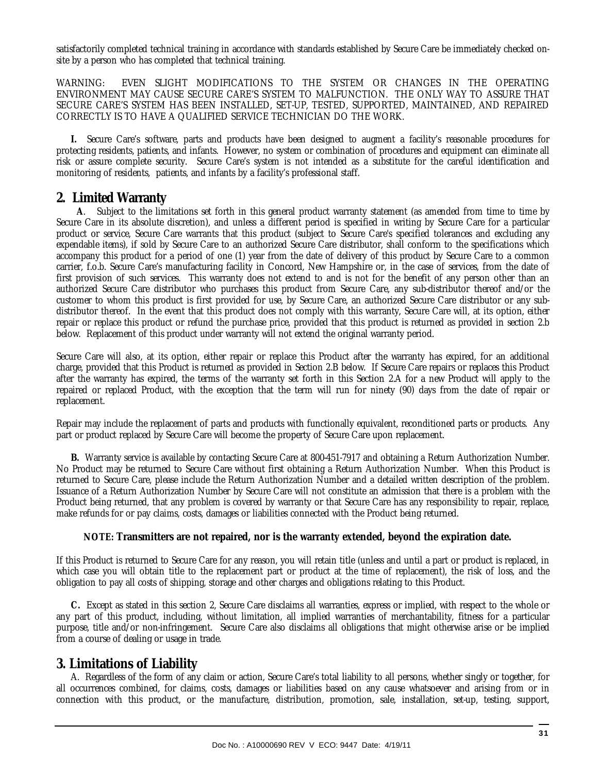satisfactorily completed technical training in accordance with standards established by Secure Care be immediately checked onsite by a person who has completed that technical training.

WARNING: EVEN SLIGHT MODIFICATIONS TO THE SYSTEM OR CHANGES IN THE OPERATING ENVIRONMENT MAY CAUSE SECURE CARE'S SYSTEM TO MALFUNCTION. THE ONLY WAY TO ASSURE THAT SECURE CARE'S SYSTEM HAS BEEN INSTALLED, SET-UP, TESTED, SUPPORTED, MAINTAINED, AND REPAIRED CORRECTLY IS TO HAVE A QUALIFIED SERVICE TECHNICIAN DO THE WORK.

 **I.** Secure Care's software, parts and products have been designed to augment a facility's reasonable procedures for protecting residents, patients, and infants. However, no system or combination of procedures and equipment can eliminate all risk or assure complete security. Secure Care's system is not intended as a substitute for the careful identification and monitoring of residents, patients, and infants by a facility's professional staff.

#### **2. Limited Warranty**

 **A**. Subject to the limitations set forth in this general product warranty statement (as amended from time to time by Secure Care in its absolute discretion), and unless a different period is specified in writing by Secure Care for a particular product or service, Secure Care warrants that this product (subject to Secure Care's specified tolerances and excluding any expendable items), if sold by Secure Care to an authorized Secure Care distributor, shall conform to the specifications which accompany this product for a period of one (1) year from the date of delivery of this product by Secure Care to a common carrier, f.o.b. Secure Care's manufacturing facility in Concord, New Hampshire or, in the case of services, from the date of first provision of such services. This warranty does not extend to and is not for the benefit of any person other than an authorized Secure Care distributor who purchases this product from Secure Care, any sub-distributor thereof and/or the customer to whom this product is first provided for use, by Secure Care, an authorized Secure Care distributor or any subdistributor thereof. In the event that this product does not comply with this warranty, Secure Care will, at its option, either repair or replace this product or refund the purchase price, provided that this product is returned as provided in section 2.b below. Replacement of this product under warranty will not extend the original warranty period.

Secure Care will also, at its option, either repair or replace this Product after the warranty has expired, for an additional charge, provided that this Product is returned as provided in Section 2.B below. If Secure Care repairs or replaces this Product after the warranty has expired, the terms of the warranty set forth in this Section 2.A for a new Product will apply to the repaired or replaced Product, with the exception that the term will run for ninety (90) days from the date of repair or replacement.

Repair may include the replacement of parts and products with functionally equivalent, reconditioned parts or products. Any part or product replaced by Secure Care will become the property of Secure Care upon replacement.

 **B.** Warranty service is available by contacting Secure Care at 800-451-7917 and obtaining a Return Authorization Number. No Product may be returned to Secure Care without first obtaining a Return Authorization Number. When this Product is returned to Secure Care, please include the Return Authorization Number and a detailed written description of the problem. Issuance of a Return Authorization Number by Secure Care will not constitute an admission that there is a problem with the Product being returned, that any problem is covered by warranty or that Secure Care has any responsibility to repair, replace, make refunds for or pay claims, costs, damages or liabilities connected with the Product being returned.

#### **NOTE: Transmitters are not repaired, nor is the warranty extended, beyond the expiration date.**

If this Product is returned to Secure Care for any reason, you will retain title (unless and until a part or product is replaced, in which case you will obtain title to the replacement part or product at the time of replacement), the risk of loss, and the obligation to pay all costs of shipping, storage and other charges and obligations relating to this Product.

 **C.** Except as stated in this section 2, Secure Care disclaims all warranties, express or implied, with respect to the whole or any part of this product, including, without limitation, all implied warranties of merchantability, fitness for a particular purpose, title and/or non-infringement. Secure Care also disclaims all obligations that might otherwise arise or be implied from a course of dealing or usage in trade.

#### **3. Limitations of Liability**

 A. Regardless of the form of any claim or action, Secure Care's total liability to all persons, whether singly or together, for all occurrences combined, for claims, costs, damages or liabilities based on any cause whatsoever and arising from or in connection with this product, or the manufacture, distribution, promotion, sale, installation, set-up, testing, support,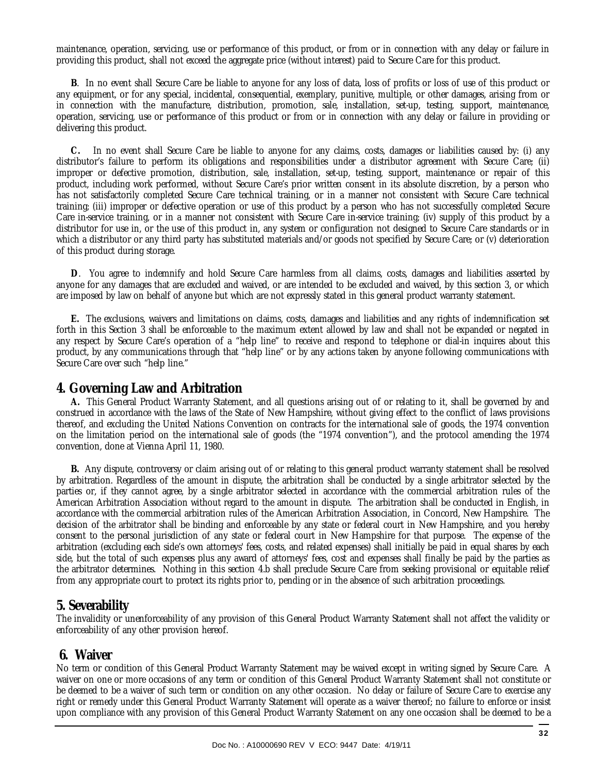maintenance, operation, servicing, use or performance of this product, or from or in connection with any delay or failure in providing this product, shall not exceed the aggregate price (without interest) paid to Secure Care for this product.

 **B**. In no event shall Secure Care be liable to anyone for any loss of data, loss of profits or loss of use of this product or any equipment, or for any special, incidental, consequential, exemplary, punitive, multiple, or other damages, arising from or in connection with the manufacture, distribution, promotion, sale, installation, set-up, testing, support, maintenance, operation, servicing, use or performance of this product or from or in connection with any delay or failure in providing or delivering this product.

 **C.** In no event shall Secure Care be liable to anyone for any claims, costs, damages or liabilities caused by: (i) any distributor's failure to perform its obligations and responsibilities under a distributor agreement with Secure Care; (ii) improper or defective promotion, distribution, sale, installation, set-up, testing, support, maintenance or repair of this product, including work performed, without Secure Care's prior written consent in its absolute discretion, by a person who has not satisfactorily completed Secure Care technical training, or in a manner not consistent with Secure Care technical training; (iii) improper or defective operation or use of this product by a person who has not successfully completed Secure Care in-service training, or in a manner not consistent with Secure Care in-service training; (iv) supply of this product by a distributor for use in, or the use of this product in, any system or configuration not designed to Secure Care standards or in which a distributor or any third party has substituted materials and/or goods not specified by Secure Care; or (v) deterioration of this product during storage.

 **D**. You agree to indemnify and hold Secure Care harmless from all claims, costs, damages and liabilities asserted by anyone for any damages that are excluded and waived, or are intended to be excluded and waived, by this section 3, or which are imposed by law on behalf of anyone but which are not expressly stated in this general product warranty statement.

 **E.** The exclusions, waivers and limitations on claims, costs, damages and liabilities and any rights of indemnification set forth in this Section 3 shall be enforceable to the maximum extent allowed by law and shall not be expanded or negated in any respect by Secure Care's operation of a "help line" to receive and respond to telephone or dial-in inquires about this product, by any communications through that "help line" or by any actions taken by anyone following communications with Secure Care over such "help line."

#### **4. Governing Law and Arbitration**

 **A.** This General Product Warranty Statement, and all questions arising out of or relating to it, shall be governed by and construed in accordance with the laws of the State of New Hampshire, without giving effect to the conflict of laws provisions thereof, and excluding the United Nations Convention on contracts for the international sale of goods, the 1974 convention on the limitation period on the international sale of goods (the "1974 convention"), and the protocol amending the 1974 convention, done at Vienna April 11, 1980.

 **B.** Any dispute, controversy or claim arising out of or relating to this general product warranty statement shall be resolved by arbitration. Regardless of the amount in dispute, the arbitration shall be conducted by a single arbitrator selected by the parties or, if they cannot agree, by a single arbitrator selected in accordance with the commercial arbitration rules of the American Arbitration Association without regard to the amount in dispute. The arbitration shall be conducted in English, in accordance with the commercial arbitration rules of the American Arbitration Association, in Concord, New Hampshire. The decision of the arbitrator shall be binding and enforceable by any state or federal court in New Hampshire, and you hereby consent to the personal jurisdiction of any state or federal court in New Hampshire for that purpose. The expense of the arbitration (excluding each side's own attorneys' fees, costs, and related expenses) shall initially be paid in equal shares by each side, but the total of such expenses plus any award of attorneys' fees, cost and expenses shall finally be paid by the parties as the arbitrator determines. Nothing in this section 4.b shall preclude Secure Care from seeking provisional or equitable relief from any appropriate court to protect its rights prior to, pending or in the absence of such arbitration proceedings.

#### **5. Severability**

The invalidity or unenforceability of any provision of this General Product Warranty Statement shall not affect the validity or enforceability of any other provision hereof.

#### **6. Waiver**

No term or condition of this General Product Warranty Statement may be waived except in writing signed by Secure Care. A waiver on one or more occasions of any term or condition of this General Product Warranty Statement shall not constitute or be deemed to be a waiver of such term or condition on any other occasion. No delay or failure of Secure Care to exercise any right or remedy under this General Product Warranty Statement will operate as a waiver thereof; no failure to enforce or insist upon compliance with any provision of this General Product Warranty Statement on any one occasion shall be deemed to be a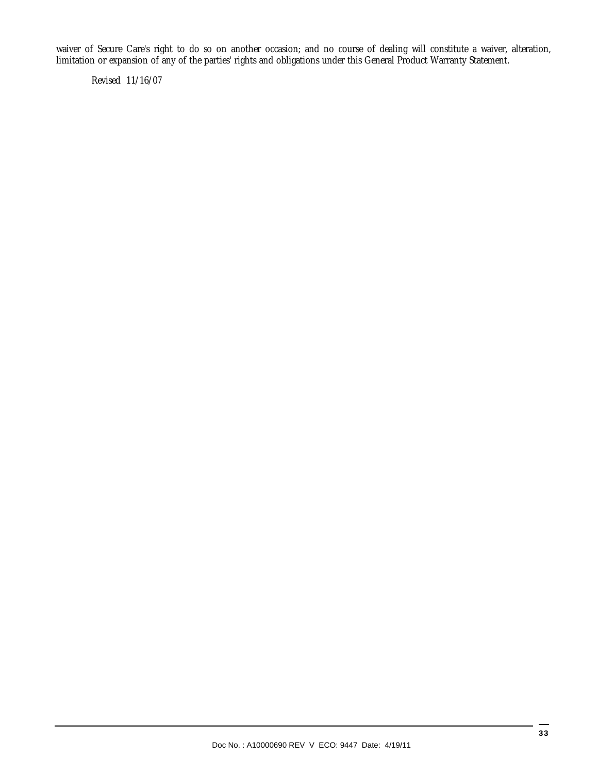waiver of Secure Care's right to do so on another occasion; and no course of dealing will constitute a waiver, alteration, limitation or expansion of any of the parties' rights and obligations under this General Product Warranty Statement.

Revised 11/16/07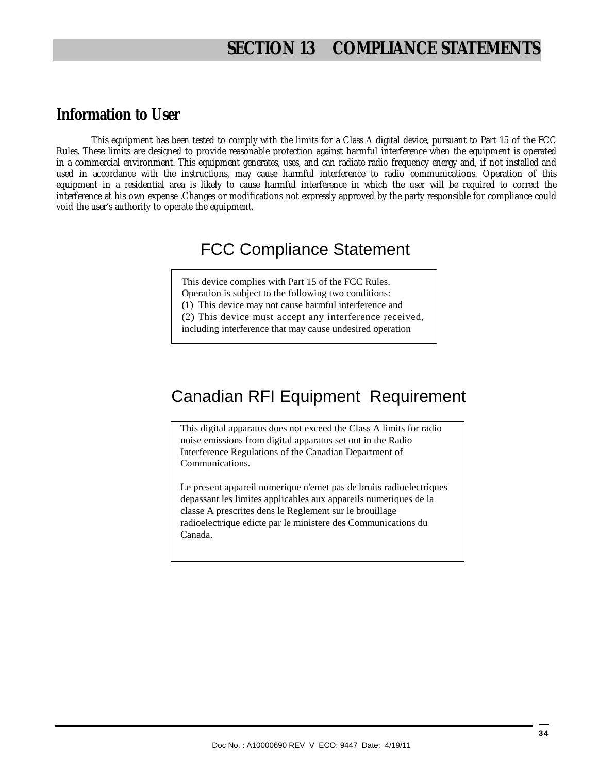## **SECTION 13 COMPLIANCE STATEMENTS**

### **Information to User**

This equipment has been tested to comply with the limits for a Class A digital device, pursuant to Part 15 of the FCC Rules. These limits are designed to provide reasonable protection against harmful interference when the equipment is operated in a commercial environment. This equipment generates, uses, and can radiate radio frequency energy and, if not installed and used in accordance with the instructions, may cause harmful interference to radio communications. Operation of this equipment in a residential area is likely to cause harmful interference in which the user will be required to correct the interference at his own expense .Changes or modifications not expressly approved by the party responsible for compliance could void the user's authority to operate the equipment.

## FCC Compliance Statement

This device complies with Part 15 of the FCC Rules.

Operation is subject to the following two conditions:

(1) This device may not cause harmful interference and

(2) This device must accept any interference received,

including interference that may cause undesired operation

# Canadian RFI Equipment Requirement

This digital apparatus does not exceed the Class A limits for radio noise emissions from digital apparatus set out in the Radio Interference Regulations of the Canadian Department of Communications.

Le present appareil numerique n'emet pas de bruits radioelectriques depassant les limites applicables aux appareils numeriques de la classe A prescrites dens le Reglement sur le brouillage radioelectrique edicte par le ministere des Communications du Canada.